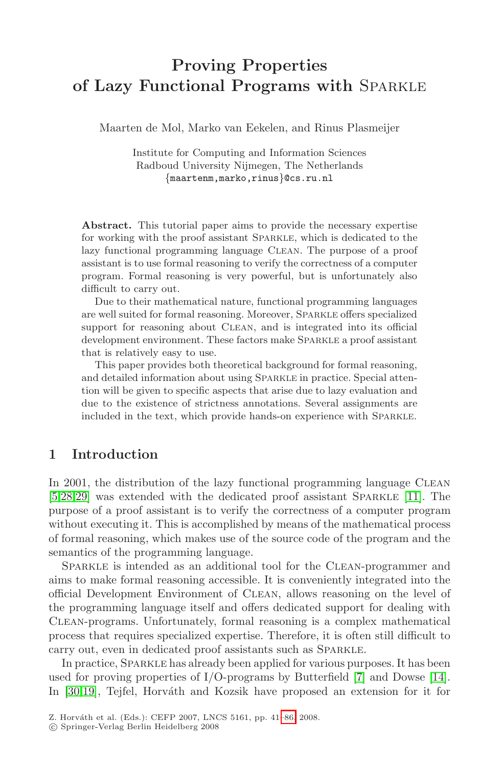# **Proving Properties of Lazy Functional Programs with** Sparkle

Maarten de Mol, Marko van Eekelen, and Rinus Plasmeijer

Institute for Computing and Information Sciences Radboud University Nijmegen, The Netherlands {maartenm,marko,rinus}@cs.ru.nl

**Abstract.** This tutorial paper aims to provide the necessary expertise for working with the proof assistant Sparkle, which is dedicated to the lazy functional programming language CLEAN. The purpose of a proof assistant is to use formal reasoning to verify the correctness of a computer program. Formal reasoning is very powerful, but is unfortunately also difficult to carry out.

Due to their mathematical nature, functional programming languages are well suited for formal reasoning. Moreover, Sparkle offers specialized support for reasoning about CLEAN, and is integrated into its official development environment. These factors make Sparkle a proof assistant that is relatively easy to use.

This paper provides both theoretical background for formal reasoning, and detailed information about using Sparkle in practice. Special attention will be given to specific aspects that arise du[e to](#page-34-0) lazy evaluation and due to the existence of strictness annotations. Several assignments are included in the text, which provide hands-on experience with Sparkle.

# **1 Introduction**

In 2001, the distribution of the lazy functional programming language CLEAN [5,28,29] was extended with the dedicated proof assistant Sparkle [11]. The purpose of a proof assistant is to verify the correctness of a computer program without executing it. This is accomplished by means of the mathematical process of formal reasoning, which makes use of the source code of the program and the semantics of the programming language.

Sparkle is intended as an additional [to](#page-33-0)ol for the C[lea](#page-34-1)n-programmer and aims to make formal reasoning accessible. It is conveniently integrated into the official Development Environment of Clean, allows reasoning on the level of the programming languag[e its](#page-45-0)elf and offers dedicated support for dealing with Clean-programs. Unfortunately, formal reasoning is a complex mathematical process that requires specialized expertise. Therefore, it is often still difficult to carry out, even in dedicated proof assistants such as Sparkle.

In practice, Sparkle has already been applied for various purposes. It has been used for proving properties of I/O-programs by Butterfield [7] and Dowse [14]. In [30,19], Tejfel, Horváth and Kozsik have proposed an extension for it for

Z. Horváth et al. (Eds.): CEFP 2007, LNCS 5161, pp. 41–86, 2008.

<sup>-</sup>c Springer-Verlag Berlin Heidelberg 2008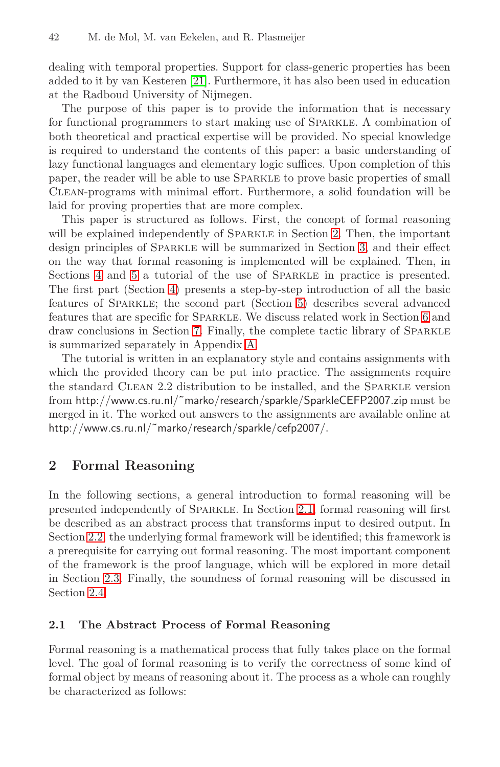#### 42 M. de Mol, M. van Eekelen, and R. Plasmeijer

dealing with temporal properties. Support for class-generic properties has been added to it by van Kesteren [21]. Furthermore, it has also been used in education at the Radboud University of Nijmegen.

The purpose of this paper is to provide the information that is necessary for functional programmers to start [ma](#page-1-0)king use of Sparkle. A combination of both theoretical and practical expertise w[ill](#page-4-0) be provided. No special knowledge is required to understand the contents of this paper: a basic understanding of lazy functional languages and elementary logic suffices. Upon completion of this pap[er,](#page-8-0) the reader will be able to use Sparkle to prove basic properties of small Clean-programs with minim[al](#page-22-0) effort. Furthermore, a solid foundation will be laid for proving properties that are more complex.

This p[ap](#page-32-0)er is structured as follows. First, the con[ce](#page-31-0)pt of formal reasoning will be explained in[de](#page-35-0)pendently of SPARKLE in Section 2. Then, the important design principles of Sparkle will be summarized in Section 3, and their effect on the way that formal reasoning is implemented will be explained. Then, in Sections 4 and 5 a tutorial of the use of Sparkle in practice is presented. The first part (Section 4) presents a step-by-step introduction of all the basic features of Sparkle; the second part (Section 5) describes several advanced features that are specific for Sparkle. We discuss related work in Section 6 and draw conclusions in Section 7. Finally, the complete tactic library of Sparkle is summarized separately in Appendix A.

<span id="page-1-0"></span>The tutorial is written in an explanatory style and contains assignments with which the provided theory can be put into practice. The assignments require the standard Clean 2.2 distribution to be installed, and the Sparkle version from http://www.cs.ru.nl/˜ma[rko/](#page-1-1)research/sparkle/SparkleCEFP2007.zip must be merged in it. The worked out answers to the assignments are available online at http://www.cs.ru.nl/˜marko/research/sparkle/cefp2007/.

# **2 Formal Reasoning**

<span id="page-1-1"></span>In the following sections, a general introduction to formal reasoning will be presented independently of Sparkle. In Section 2.1, formal reasoning will first be described as an abstract process that transforms input to desired output. In Section 2.2, the underlying formal framework will be identified; this framework is a prerequisite for carrying out formal reasoning. The most important component of the framework is the proof language, which will be explored in more detail in Section 2.3. Finally, the soundness of formal reasoning will be discussed in Section 2.4.

### **2.1 The Abstract Process of Formal Reasoning**

Formal reasoning is a mathematical process that fully takes place on the formal level. The goal of formal reasoning is to verify the correctness of some kind of formal object by means of reasoning about it. The process as a whole can roughly be characterized as follows: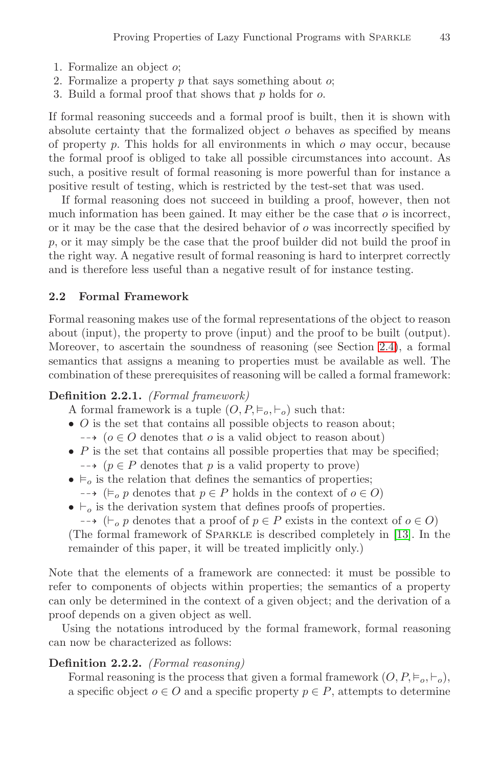- 1. Formalize an object o;
- 2. Formalize a property  $p$  that says something about  $q$ ;
- 3. Build a formal proof that shows that  $p$  holds for  $o$ .

If formal reasoning succeeds and a formal proof is built, then it is shown with absolute certainty that the formalized object o behaves as specified by means of property  $p$ . This holds for all environments in which  $o$  may occur, because the formal proof is obliged to take all possible circumstances into account. As such, a positive result of formal reasoning is more powerful than for instance a positive result of testing, which is restricted by the test-set that was used.

If formal reasoning does not succeed in building a proof, however, then not much information has been gained. It may either be the case that  $o$  is incorrect, or it may be the case that the desired behavior of  $\sigma$  was incorrectly specified by p, or it may simply be the case that the proof [buil](#page-3-0)der did not build the proof in the right way. A negative result of formal reasoning is hard to interpret correctly and is therefore less useful than a negative result of for instance testing.

#### **2.2 Formal Framework**

Formal reasoning makes use of the formal representations of the object to reason about (input), the property to prove (input) and the proof to be built (output). Moreover, to ascertain the soundness of reasoning (see Section 2.4), a formal semantics that assigns a meaning to properties must be available as well. The combination of these prerequisites of reasoning will be called a formal framework:

# **Definition 2.2.1.** *(Formal framework)*

A formal framework is a tuple  $(O, P, \vDash_{o}, \vDash_{o})$  such that:<br>  $\bullet$  *O* is the set that contains all possible objects to reas

- $\bullet$  O is the set that contains all possible obje[cts t](#page-34-2)o reason about;  $\rightarrow$  ( $o \in O$  denotes that  $o$  is a valid object to reason about)
- $P$  is the set that contains all possible properties that may be specified;  $\rightarrow$  ( $p \in P$  denotes that p is a valid property to prove)
- $\varepsilon_o$  is the relation that defines the semantics of properties;  $\vdash$   $\rightarrow$  ( $\models$ <sub>*o*</sub> p denotes that  $p \in P$  holds in the context of  $o \in O$ )<br>  $\vdash$  is the derivation system that defines proofs of properties
- $\vdash_{o}$  is the derivation system that defines proofs of properties.  $\rightarrow$  ( $\vdash_o p$  denotes that a proof of  $p \in P$  exists in the context of  $o \in O$ )<br>the formal framework of SPARKLE is described completely in [13]. In t (The formal framework of Sparkle is described completely in [13]. In the remainder of this paper, it will be treated implicitly only.)

Note that the elements of a framework are connected: it must be possible to refer to components of objects within properties; the semantics of a property can only be determined in the context of a given object; and the derivation of a proof depends on a given object as well.

Using the notations introduced by the formal framework, formal reasoning can now be characterized as follows:

### **Definition 2.2.2.** *(Formal reasoning)*

Formal reasoning is the process that given a formal framework  $(O, P, \vDash_{o}, \vdash_{o})$ ,<br>a specific object  $o \in O$  and a specific property  $p \in P$  attempts to determine a specific object  $o \in O$  and a specific property  $p \in P$ , attempts to determine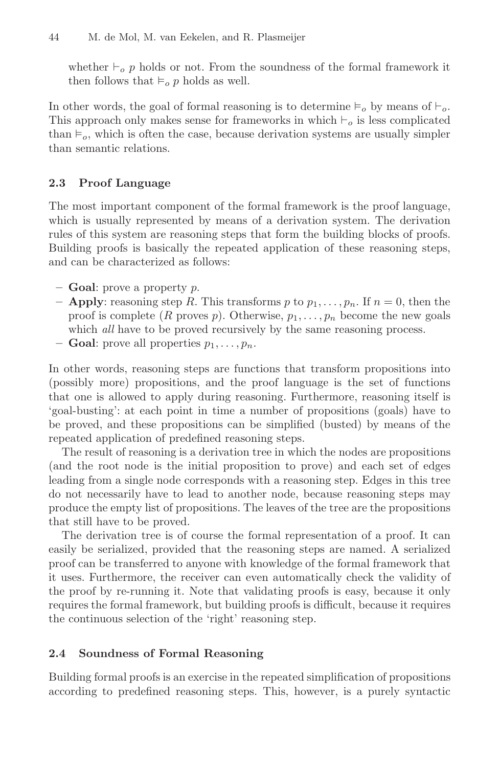whether  $\vdash_o p$  holds or not. From the soundness of the formal framework it<br>then follows that  $\vdash_n p$  holds as well then follows that  $\vDash_o p$  holds as well.

In other words, the goal of formal reasoning is to determine  $\models_o$  by means of  $\models_o$ .<br>This approach only makes some for formalized in which  $\models_o$  is less complicated This approach only makes sense for frameworks in which  $\vdash_{o}$  is less complicated than  $\vdash_{o}$  which is often the second legitimation and we are smaller simular than  $\vDash_{o}$ , which is often the case, because derivation systems are usually simpler than semantic relations.

#### **2.3 Proof Language**

The most important component of the formal framework is the proof language, which is usually represented by means of a derivation system. The derivation rules of this system are reasoning steps that form the building blocks of proofs. Building proofs is basically the repeated application of these reasoning steps, and can be characterized as follows:

- **Goal**: prove a property p.
- $-$  **Apply**: reasoning step R. This transforms p to  $p_1, \ldots, p_n$ . If  $n = 0$ , then the proof is complete (R proves p). Otherwise,  $p_1, \ldots, p_n$  become the new goals which *all* have to be proved recursively by the same reasoning process.
- $-$  **Goal**: prove all properties  $p_1, \ldots, p_n$ .

In other words, reasoning steps are functions that transform propositions into (possibly more) propositions, and the proof language is the set of functions that one is allowed to apply during reasoning. Furthermore, reasoning itself is 'goal-busting': at each point in time a number of propositions (goals) have to be proved, and these propositions can be simplified (busted) by means of the repeated application of predefined reasoning steps.

The result of reasoning is a derivation tree in which the nodes are propositions (and the root node is the initial proposition to prove) and each set of edges leading from a single node corresponds with a reasoning step. Edges in this tree do not necessarily have to lead to another node, because reasoning steps may produce the empty list of propositions. The leaves of the tree are the propositions that still have to be proved.

The derivation tree is of course the formal representation of a proof. It can easily be serialized, provided that the reasoning steps are named. A serialized proof can be transferred to anyone with knowledge of the formal framework that it uses. Furthermore, the receiver can even automatically check the validity of the proof by re-running it. Note that validating proofs is easy, because it only requires the formal framework, but building proofs is difficult, because it requires the continuous selection of the 'right' reasoning step.

#### <span id="page-3-0"></span>**2.4 Soundness of Formal Reasoning**

Building formal proofs is an exercise in the repeated simplification of propositions according to predefined reasoning steps. This, however, is a purely syntactic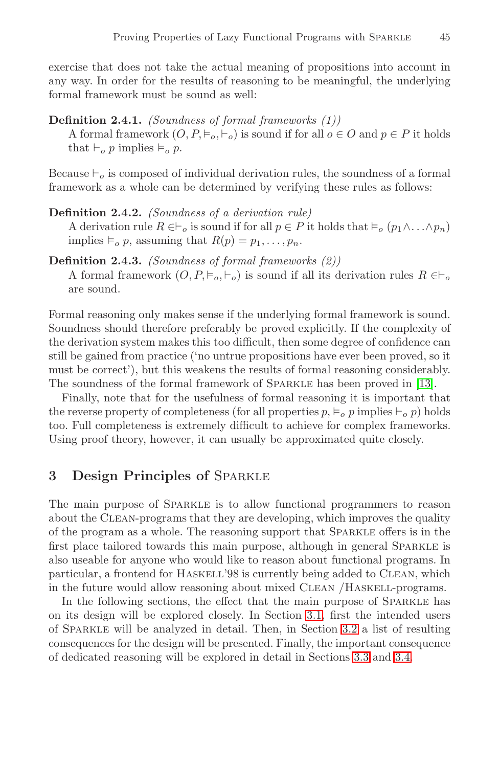exercise that does not take the actual meaning of propositions into account in any way. In order for the results of reasoning to be meaningful, the underlying formal framework must be sound as well:

**Definition 2.4.1.** *(Soundness of formal frameworks (1))*

A formal framework  $(O, P, \vDash_{o}, \vDash_{o})$  is sound if for all  $o \in O$  and  $p \in P$  it holds<br>that  $\vDash$  n implies  $\vDash$  n that  $\vdash_o p$  implies  $\models_o p$ .

Because  $\vdash_o$  is composed of individual derivation rules, the soundness of a formal<br>framework as a whole sample determined by verificing these whose a follows: framework as a whole can be determined by verifying these rules as follows:

**Definition 2.4.2.** *(Soundness of a derivation rule)*

A derivation rule  $R \in \vdash_o$  is sound if for all  $p \in P$  it holds that  $\models_o (p_1 \land \ldots \land p_n)$ <br>implies  $\models_p p$  assuming that  $R(n) = p_1$ implies  $\vDash_o p$ , assuming that  $R(p) = p_1, \ldots, p_n$ .

**Definition 2.4.3.** *(Soundness of formal frameworks (2))*

A formal framework  $(O, P, \vDash_{o}, \vdash_{o})$  is sound if all i[ts d](#page-34-2)erivation rules  $R \in \vdash_{o}$ <br>are sound are sound.

<span id="page-4-0"></span>Formal reasoning only makes sense if the underlying formal framework is sound. Soundness should therefore preferably be proved explicitly. If the complexity of the derivation system makes this too difficult, then some degree of confidence can still be gained from practice ('no untrue propositions have ever been proved, so it must be correct'), but this weakens the results of formal reasoning considerably. The soundness of the formal framework of Sparkle has been proved in [13].

Finally, note that for the usefulness of formal reasoning it is important that the reverse property of completeness (for all properties  $p, \vDash$ <sub>*o*</sub>  $p$  implies  $\vdash$ <sub>*o*</sub> $p$ ) holds too. Full completeness is extremely difficult to achieve for complex frameworks too. Full completeness is extremely difficult to achieve for complex frameworks. Using proof theory, however, it can usually be approximated quite closely.

# **3** Design Principles of SPARKLE

The main purpose of Sparkle [is](#page-5-0) to allow functional programmers to reason about the Clean-programs that they a[re d](#page-5-1)eveloping, which improves the quality of the program as a whole. The reasoning support that Sparkle offers is in the first place tailored towards this main pu[rpos](#page-6-0)e, al[thou](#page-7-0)gh in general Sparkle is also useable for anyone who would like to reason about functional programs. In particular, a frontend for Haskell'98 is currently being added to Clean, which in the future would allow reasoning about mixed Clean /Haskell-programs.

In the following sections, the effect that the main purpose of SPARKLE has on its design will be explored closely. In Section 3.1, first the intended users of Sparkle will be analyzed in detail. Then, in Section 3.2 a list of resulting consequences for the design will be presented. Finally, the important consequence of dedicated reasoning will be explored in detail in Sections 3.3 and 3.4.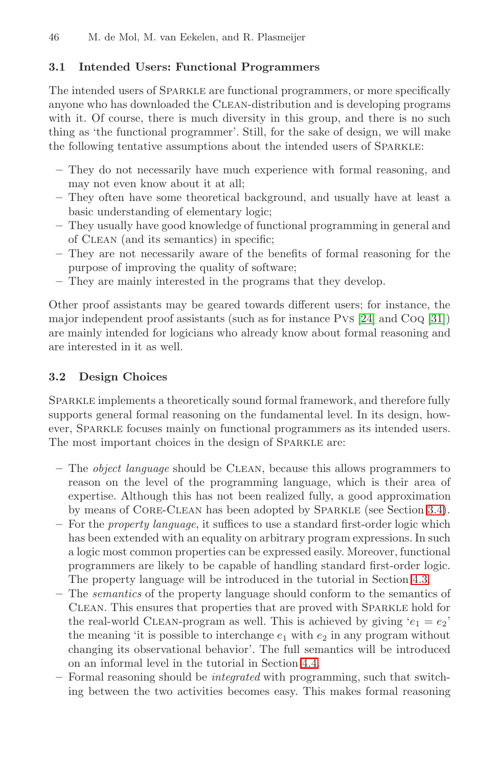#### <span id="page-5-0"></span>46 M. de Mol, M. van Eekelen, and R. Plasmeijer

#### **3.1 Intended Users: Functional Programmers**

The intended users of Sparkle are functional programmers, or more specifically anyone who has downloaded the Clean-distribution and is developing programs with it. Of course, there is much diversity in this group, and there is no such thing as 'the functional programmer'. Still, for the sake of design, we will make the following tentative assumptions about the intended users of Sparkle:

- **–** They do not necessarily have much experience with formal reasoning, and may not even know about it at all;
- **–** They often have some theoretical background, and usually have at least a basic understanding of elementary logi[c;](#page-34-3)
- **–** They usually have good knowledge of functional programming in general and of Clean (and its semantics) in specific;
- **–** They are not necessarily aware of the benefits of formal reasoning for the purpose of improving the quality of software;
- **–** They are mainly interested in the programs that they develop.

<span id="page-5-1"></span>Other proof assistants may be geared towards different users; for instance, the major independent proof assistants (such as for instance Pvs [24] and Coq [31]) are mainly intended for logicians who already know about formal reasoning and are interested in it as well.

### **3.2 Design Choices**

Sparkle implements a theoretically sound formal frame[work](#page-7-0), and therefore fully supports general formal reasoning on the fundamental level. In its design, however, Sparkle focuses mainly on functional programmers as its intended users. The most important choices in the design of Sparkle are:

- **–** The *object language* should be Clean, because [this](#page-11-0) allows programmers to reason on the level of the programming language, which is their area of expertise. Although this has not been realized fully, a good approximation by means of Core-Clean has been adopted by Sparkle (see Section 3.4).
- **–** For the *property language*, it suffices to use a standard first-order logic which has been extended with an equality on arbitrary program expressions. In such a logic most common prope[rties](#page-14-0) can be expressed easily. Moreover, functional programmers are likely to be capable of handling standard first-order logic. The property language will be introduced in the tutorial in Section 4.3.
- **–** The *semantics* of the property language should conform to the semantics of Clean. This ensures that properties that are proved with Sparkle hold for the real-world CLEAN-program as well. This is achieved by giving ' $e_1 = e_2$ ' the meaning 'it is possible to interchange  $e_1$  with  $e_2$  in any program without changing its observational behavior'. The full semantics will be introduced on an informal level in the tutorial in Section 4.4.
- **–** Formal reasoning should be *integrated* with programming, such that switching between the two activities becomes easy. This makes formal reasoning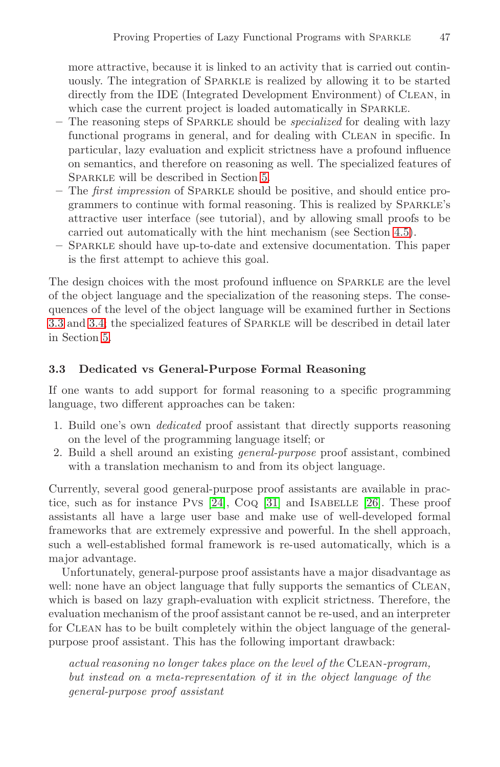more attractive, be[ca](#page-22-0)use it is linked to an activity that is carried out continuously. The integration of Sparkle is realized by allowing it to be started directly from the IDE (Integrated Development Environment) of Clean, in which case the current project is loaded automatically in SPARKLE.

- **–** The reasoning steps of Sparkle should be *s[pecia](#page-16-0)lized* for dealing with lazy functional programs in general, and for dealing with CLEAN in specific. In particular, lazy evaluation and explicit strictness have a profound influence on semantics, and therefore on reasoning as well. The specialized features of Sparkle will be described in Section 5.
- **–** The *first impression* of Sparkle should be positive, and should entice programmers to continue with formal reasoning. This is realized by Sparkle's attractive user interface (see tutorial), and by allowing small proofs to be carried out automatically with the hint mechanism (see Section 4.5).
- **–** Sparkle should have up-to-date and extensive documentation. This paper is the first attempt to achieve this goal.

<span id="page-6-0"></span>The design choices with the most profound influence on Sparkle are the level of the object language and the specialization of the reasoning steps. The consequences of the level of the object language will be examined further in Sections 3.3 and 3.4; the specialized features of Sparkle will be described in detail later in Section 5.

# **3.3 Dedicated vs General-Purpose Formal Reasoning**

If one wants [to](#page-34-3) add s[upp](#page-35-1)ort for formal r[easo](#page-34-4)ning to a specific programming language, two different approaches can be taken:

- 1. Build one's own *dedicated* proof assistant that directly supports reasoning on the level of the programming language itself; or
- 2. Build a shell around an existing *general-purpose* proof assistant, combined with a translation mechanism to and from its object language.

Currently, several good general-purpose proof assistants are available in practice, such as for instance Pvs [24], Coq [31] and Isabelle [26]. These proof assistants all have a large user base and make use of well-developed formal frameworks that are extremely expressive and powerful. In the shell approach, such a well-established formal framework is re-used automatically, which is a major advantage.

Unfortunately, general-purpose proof assistants have a major disadvantage as well: none have an object language that fully supports the semantics of CLEAN, which is based on lazy graph-evaluation with explicit strictness. Therefore, the evaluation mechanism of the proof assistant cannot be re-used, and an interpreter for Clean has to be built completely within the object language of the generalpurpose proof assistant. This has the following important drawback:

*actual reasoning no longer takes place on the level of the* Clean*-program, but instead on a meta-representation of it in the object language of the general-purpose proof assistant*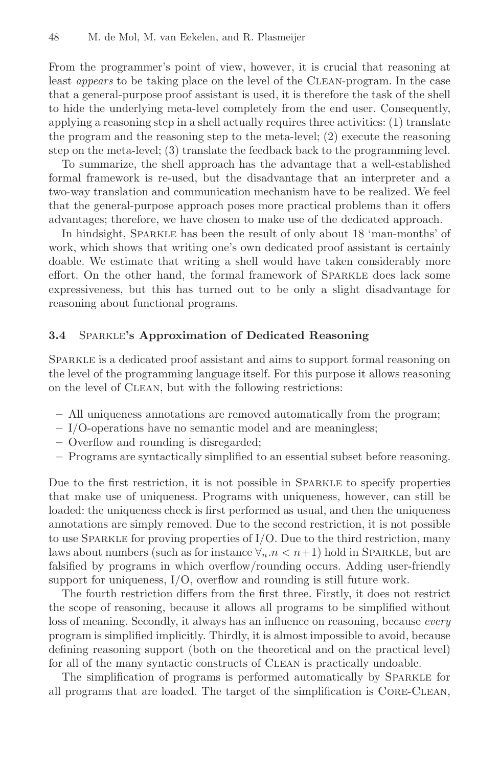From the programmer's point of view, however, it is crucial that reasoning at least *appears* to be taking place on the level of the Clean-program. In the case that a general-purpose proof assistant is used, it is therefore the task of the shell to hide the underlying meta-level completely from the end user. Consequently, applying a reasoning step in a shell actually requires three activities: (1) translate the program and the reasoning step to the meta-level; (2) execute the reasoning step on the meta-level; (3) translate the feedback back to the programming level.

To summarize, the shell approach has the advantage that a well-established formal framework is re-used, but the disadvantage that an interpreter and a two-way translation and communication mechanism have to be realized. We feel that the general-purpose approach poses more practical problems than it offers advantages; therefore, we have chosen to make use of the dedicated approach.

In hindsight, Sparkle has been the result of only about 18 'man-months' of work, which shows that writing one's own dedicated proof assistant is certainly doable. We estimate that writing a shell would have taken considerably more effort. On the other hand, the formal framework of Sparkle does lack some expressiveness, but this has turned out to be only a slight disadvantage for reasoning about functional programs.

#### <span id="page-7-0"></span>**3.4** Sparkle**'s Approximation of Dedicated Reasoning**

Sparkle is a dedicated proof assistant and aims to support formal reasoning on the level of the programming language itself. For this purpose it allows reasoning on the level of Clean, but with the following restrictions:

- **–** All uniqueness annotations are removed automatically from the program;
- **–** I/O-operations have no semantic model and are meaningless;
- **–** Overflow and rounding is disregarded;
- **–** Programs are syntactically simplified to an essential subset before reasoning.

Due to the first restriction, it is not possible in Sparkle to specify properties that make use of uniqueness. Programs with uniqueness, however, can still be loaded: the uniqueness check is first performed as usual, and then the uniqueness annotations are simply removed. Due to the second restriction, it is not possible to use SPARKLE for proving properties of  $I/O$ . Due to the third restriction, many laws about numbers (such as for instance  $\forall n \cdot n \leq n+1$ ) hold in SPARKLE, but are falsified by programs in which overflow/rounding occurs. Adding user-friendly support for uniqueness, I/O, overflow and rounding is still future work.

The fourth restriction differs from the first three. Firstly, it does not restrict the scope of reasoning, because it allows all programs to be simplified without loss of meaning. Secondly, it always has an influence on reasoning, because *every* program is simplified implicitly. Thirdly, it is almost impossible to avoid, because defining reasoning support (both on the theoretical and on the practical level) for all of the many syntactic constructs of Clean is practically undoable.

The simplification of programs is performed automatically by Sparkle for all programs that are loaded. The target of the simplification is Core-Clean,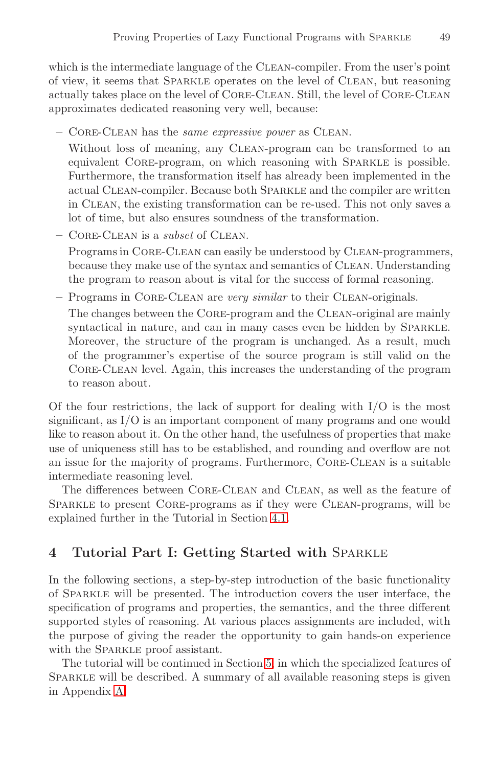which is the intermediate language of the CLEAN-compiler. From the user's point of view, it seems that Sparkle operates on the level of Clean, but reasoning actually takes place on the level of Core-Clean. Still, the level of Core-Clean approximates dedicated reasoning very well, because:

**–** Core-Clean has the *same expressive power* as Clean.

Without loss of meaning, any CLEAN-program can be transformed to an equivalent Core-program, on which reasoning with Sparkle is possible. Furthermore, the transformation itself has already been implemented in the actual Clean-compiler. Because both Sparkle and the compiler are written in Clean, the existing transformation can be re-used. This not only saves a lot of time, but also ensures soundness of the transformation.

**–** Core-Clean is a *subset* of Clean.

Programs in CORE-CLEAN can easily be understood by CLEAN-programmers, because they make use of the syntax and semantics of Clean. Understanding the program to reason about is vital for the success of formal reasoning.

**–** Programs in Core-Clean are *very similar* to their Clean-originals.

The changes between the Core-program and the Clean-original are mainly syntactical in nature, and can in many cases even be hidden by Sparkle. Moreover, the structure of the program is unchanged. As a result, much of the programmer's expertise of the source program is still valid on the Core-Clean level. Again, this increases the understanding of the program to reason about.

<span id="page-8-0"></span>Of the four restrictions, [the](#page-9-0) lack of support for dealing with I/O is the most significant, as I/O is an important component of many programs and one would like to reason about it. On the other hand, the usefulness of properties that make use of uniqueness still has to be established, and rounding and overflow are not an issue for the majority of programs. Furthermore, Core-Clean is a suitable intermediate reasoning level.

The differences between Core-Clean and Clean, as well as the feature of Sparkle to present Core-programs as if they were Clean-programs, will be explained further in the Tutorial in Section 4.1.

# **4 Tutorial Part [I:](#page-22-0) Getting Started with** Sparkle

In the following sections, a step-by-step introduction of the basic functionality of Sparkle will be presented. The introduction covers the user interface, the specification of programs and properties, the semantics, and the three different supported styles of reasoning. At various places assignments are included, with the purpose of giving the reader the opportunity to gain hands-on experience with the SPARKLE proof assistant.

The tutorial will be continued in Section 5, in which the specialized features of Sparkle will be described. A summary of all available reasoning steps is given in Appendix A.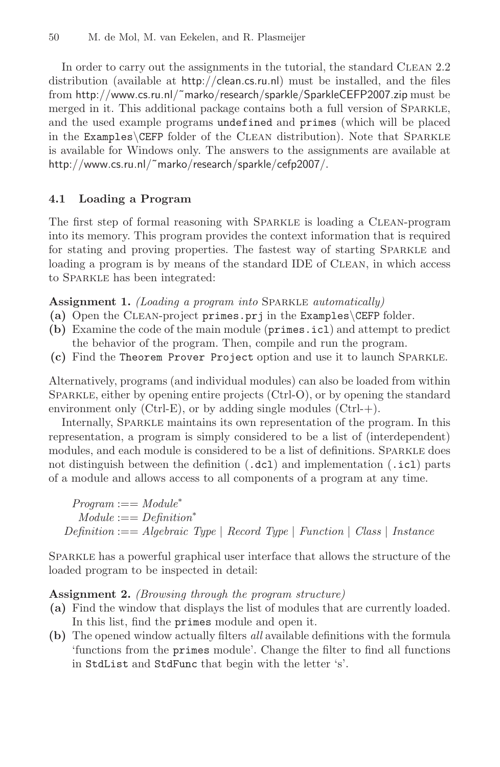In order to carry out the assignments in the tutorial, the standard Clean 2.2 distribution (available at http://clean.cs.ru.nl) must be installed, and the files from http://www.cs.ru.nl/˜marko/research/sparkle/SparkleCEFP2007.zip must be merged in it. This additional package contains both a full version of Sparkle, and the used example programs undefined and primes (which will be placed in the Examples\CEFP folder of the Clean distribution). Note that Sparkle is available for Windows only. The answers to the assignments are available at http://www.cs.ru.nl/˜marko/research/sparkle/cefp2007/.

# <span id="page-9-0"></span>**4.1 Loading a Program**

The first step of formal reasoning with Sparkle is loading a Clean-program into its memory. This program provides the context information that is required for stating and proving properties. The fastest way of starting Sparkle and loading a program is by means of the standard IDE of CLEAN, in which access to Sparkle has been integrated:

**Assignment 1.** *(Loading a program into* Sparkle *automatically)*

- **(a)** Open the Clean-project primes.prj in the Examples\CEFP folder.
- **(b)** Examine the code of the main module (primes.icl) and attempt to predict the behavior of the program. Then, compile and run the program.
- **(c)** Find the Theorem Prover Project option and use it to launch Sparkle.

Alternatively, programs (and individual modules) can also be loaded from within Sparkle, either by opening entire projects (Ctrl-O), or by opening the standard environment only (Ctrl-E), or by adding single modules  $(Ctrl+$ ).

Internally, Sparkle maintains its own representation of the program. In this representation, a program is simply considered to be a list of (interdependent) modules, and each module is considered to be a list of definitions. Sparkle does not distinguish between the definition (.dcl) and implementation (.icl) parts of a module and allows access to all components of a program at any time.

*Program* :== *Module*<sup>∗</sup> *Module* :== *Definition*<sup>∗</sup> *Definition* :== *Algebraic Type* | *Record Type* | *Function* | *Class* | *Instance*

Sparkle has a powerful graphical user interface that allows the structure of the loaded program to be inspected in detail:

# **Assignment 2.** *(Browsing through the program structure)*

- **(a)** Find the window that displays the list of modules that are currently loaded. In this list, find the primes module and open it.
- **(b)** The opened window actually filters *all* available definitions with the formula 'functions from the primes module'. Change the filter to find all functions in StdList and StdFunc that begin with the letter 's'.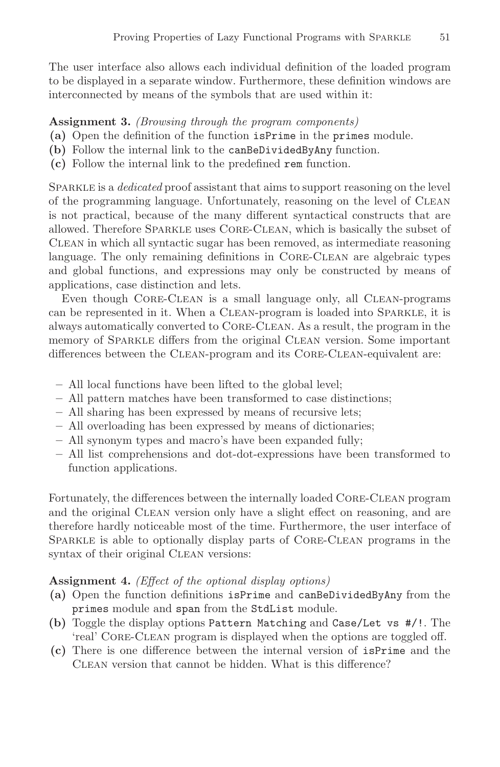The user interface also allows each individual definition of the loaded program to be displayed in a separate window. Furthermore, these definition windows are interconnected by means of the symbols that are used within it:

#### **Assignment 3.** *(Browsing through the program components)*

- **(a)** Open the definition of the function isPrime in the primes module.
- **(b)** Follow the internal link to the canBeDividedByAny function.
- **(c)** Follow the internal link to the predefined rem function.

Sparkle is a *dedicated* proof assistant that aims to support reasoning on the level of the programming language. Unfortunately, reasoning on the level of Clean is not practical, because of the many different syntactical constructs that are allowed. Therefore Sparkle uses Core-Clean, which is basically the subset of Clean in which all syntactic sugar has been removed, as intermediate reasoning language. The only remaining definitions in CORE-CLEAN are algebraic types and global functions, and expressions may only be constructed by means of applications, case distinction and lets.

Even though Core-Clean is a small language only, all Clean-programs can be represented in it. When a CLEAN-program is loaded into SPARKLE, it is always automatically converted to Core-Clean. As a result, the program in the memory of Sparkle differs from the original Clean version. Some important differences between the Clean-program and its Core-Clean-equivalent are:

- **–** All local functions have been lifted to the global level;
- **–** All pattern matches have been transformed to case distinctions;
- **–** All sharing has been expressed by means of recursive lets;
- **–** All overloading has been expressed by means of dictionaries;
- **–** All synonym types and macro's have been expanded fully;
- **–** All list comprehensions and dot-dot-expressions have been transformed to function applications.

Fortunately, the differences between the internally loaded CORE-CLEAN program and the original Clean version only have a slight effect on reasoning, and are therefore hardly noticeable most of the time. Furthermore, the user interface of Sparkle is able to optionally display parts of Core-Clean programs in the syntax of their original CLEAN versions:

### **Assignment 4.** *(Effect of the optional display options)*

- **(a)** Open the function definitions isPrime and canBeDividedByAny from the primes module and span from the StdList module.
- **(b)** Toggle the display options Pattern Matching and Case/Let vs #/!. The 'real' Core-Clean program is displayed when the options are toggled off.
- **(c)** There is one difference between the internal version of isPrime and the Clean version that cannot be hidden. What is this difference?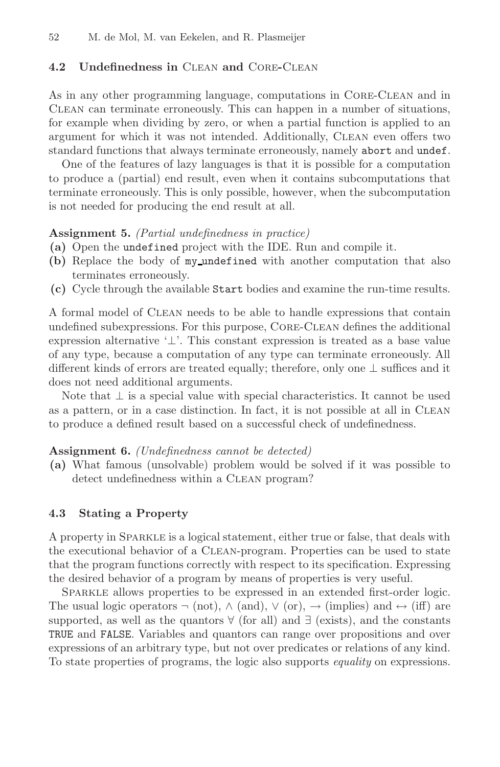#### **4.2 Undefinedness in** Clean **and** Core**-**Clean

As in any other programming language, computations in Core-Clean and in Clean can terminate erroneously. This can happen in a number of situations, for example when dividing by zero, or when a partial function is applied to an argument for which it was not intended. Additionally, Clean even offers two standard functions that always terminate erroneously, namely abort and undef.

One of the features of lazy languages is that it is possible for a computation to produce a (partial) end result, even when it contains subcomputations that terminate erroneously. This is only possible, however, when the subcomputation is not needed for producing the end result at all.

#### **Assignment 5.** *(Partial undefinedness in practice)*

- **(a)** Open the undefined project with the IDE. Run and compile it.
- **(b)** Replace the body of my undefined with another computation that also terminates erroneously.
- **(c)** Cycle through the available Start bodies and examine the run-time results.

A formal model of Clean needs to be able to handle expressions that contain undefined subexpressions. For this purpose, Core-Clean defines the additional expression alternative  $\perp$ . This constant expression is treated as a base value of any type, because a computation of any type can terminate erroneously. All different kinds of errors are treated equally; therefore, only one ⊥ suffices and it does not need additional arguments.

Note that  $\perp$  is a special value with special characteristics. It cannot be used as a pattern, or in a case distinction. In fact, it is not possible at all in Clean to produce a defined result based on a successful check of undefinedness.

#### **Assignment 6.** *(Undefinedness cannot be detected)*

**(a)** What famous (unsolvable) problem would be solved if it was possible to detect undefinedness within a CLEAN program?

#### <span id="page-11-0"></span>**4.3 Stating a Property**

A property in Sparkle is a logical statement, either true or false, that deals with the executional behavior of a Clean-program. Properties can be used to state that the program functions correctly with respect to its specification. Expressing the desired behavior of a program by means of properties is very useful.

Sparkle allows properties to be expressed in an extended first-order logic. The usual logic operators  $\neg$  (not),  $\land$  (and),  $\lor$  (or),  $\rightarrow$  (implies) and  $\leftrightarrow$  (iff) are supported, as well as the quantors  $\forall$  (for all) and  $\exists$  (exists), and the constants TRUE and FALSE. Variables and quantors can range over propositions and over expressions of an arbitrary type, but not over predicates or relations of any kind. To state properties of programs, the logic also supports *equality* on expressions.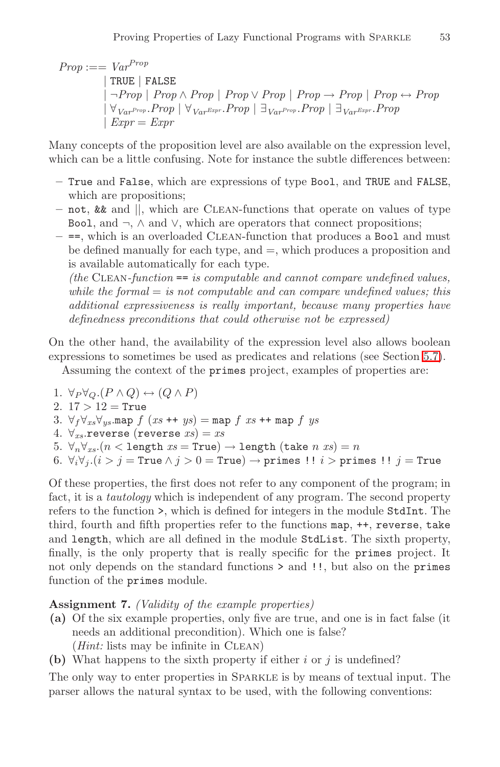*Prop* := = 
$$
Var^{Prop}
$$
  
\n| TRUE | FALSE  
\n|¬*Prop* | *Prop* ∧ *Prop* | *Prop* ∨ *Prop* | *Prop* → *Prop* | *Prop* → *Prop*  
\n| $\forall_{Var^{Prop}}. Prop$  |  $\forall_{Var^{Expr}}. Prop$  |  $\exists_{Var^{Prop}}. Prop$  |  $\exists_{Var^{Expr}}. Prop$   
\n| *Expr* = *Expr*

Many concepts of the proposition level are also available on the expression level, which can be a little confusing. Note for instance the subtle differences between:

- **–** True and False, which are expressions of type Bool, and TRUE and FALSE, which are propositions:
- **–** not, && and ||, which are Clean-functions that operate on values of type Bool, and  $¬$ ,  $∧$  and  $∨$ , which are operators that connect propositions;
- **–** ==, which is an overloaded Clean-function that produces a Bool and must be defined manually for each type, and  $=$ , which pr[odu](#page-30-0)ces a proposition and is available automatically for each type. *(the* Clean*-function* == *is computable and cannot compare undefined values,*

*while the formal* = *is not computable and can compare undefined values; this additional expressiveness is really important, because many properties have definedness preconditions that could otherwise not be expressed)*

On the other hand, the availability of the expression level also allows boolean expressions to sometimes be used as predicates and relations (see Section 5.7).

Assuming the context of the primes project, examples of properties are:

- 1.  $\forall P \forall Q . (P \land Q) \leftrightarrow (Q \land P)$
- 2.  $17 > 12 =$ True
- 3.  $\forall f \forall x s \forall y s$ .map  $f(xs + ys) =$ map  $f(xs + ys)$
- 4.  $\forall_{xs}$ .reverse (reverse  $xs$ ) =  $xs$
- 5.  $\forall n \forall x s. (n < \text{length } xs = \text{True}) \rightarrow \text{length } (\text{take } n \ xs) = n$
- 6.  $\forall i \forall j \ldotp (i>j = \text{True} \land j > 0 = \text{True}) \rightarrow \text{primes}$  !!  $i > \text{primes}$  !!  $j = \text{True}$

Of these properties, the first does not refer to any component of the program; in fact, it is a *tautology* which is independent of any program. The second property refers to the function >, which is defined for integers in the module StdInt. The third, fourth and fifth properties refer to the functions map, ++, reverse, take and length, which are all defined in the module StdList. The sixth property, finally, is the only property that is really specific for the primes project. It not only depends on the standard functions > and !!, but also on the primes function of the primes module.

#### **Assignment 7.** *(Validity of the example properties)*

- **(a)** Of the six example properties, only five are true, and one is in fact false (it needs an additional precondition). Which one is false?
	- (*Hint:* lists may be infinite in CLEAN)
- (b) What happens to the sixth property if either  $i$  or  $j$  is undefined?

The only way to enter properties in Sparkle is by means of textual input. The parser allows the natural syntax to be used, with the following conventions: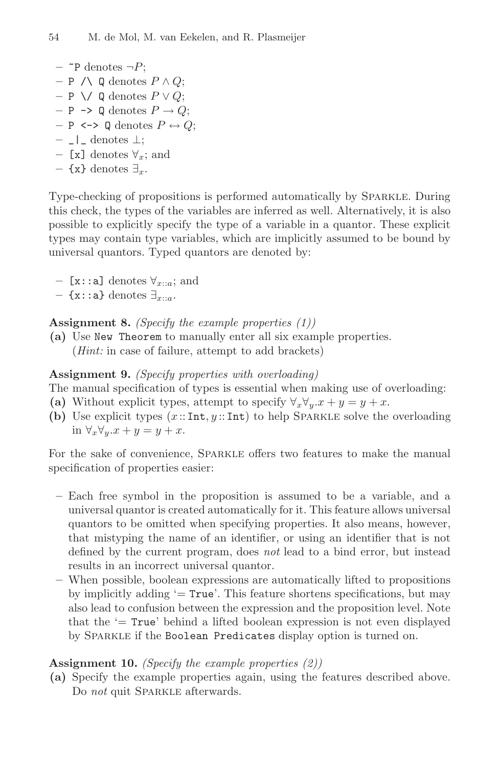$\tilde{P}$  denotes  $\neg P$ ; **–** P /\ Q denotes P <sup>∧</sup> Q; **–** P \/ Q denotes P <sup>∨</sup> Q;  $- P \rightarrow Q$  denotes  $P \rightarrow Q$ ;  $- P \iff Q$  denotes  $P \leftrightarrow Q$ ; **–** \_|\_ denotes ⊥; **–** [x] denotes <sup>∀</sup>*x*; and **–** {x} denotes <sup>∃</sup>*x*.

Type-checking of propositions is performed automatically by Sparkle. During this check, the types of the variables are inferred as well. Alternatively, it is also possible to explicitly specify the type of a variable in a quantor. These explicit types may contain type variables, which are implicitly assumed to be bound by universal quantors. Typed quantors are denoted by:

- **–** [x::a] denotes <sup>∀</sup>*x*::*a*; and
- **–** {x::a} denotes <sup>∃</sup>*x*::*a*.

**Assignment 8.** *(Specify the example properties (1))*

**(a)** Use New Theorem to manually enter all six example properties. (*Hint:* in case of failure, attempt to add brackets)

#### **Assignment 9.** *(Specify properties with overloading)*

The manual specification of types is essential when making use of overloading:

- (a) Without explicit types, attempt to specify  $\forall x \forall y \ldots x + y = y + x$ .
- **(b)** Use explicit types  $(x::Int, y::Int)$  to help SPARKLE solve the overloading in <sup>∀</sup>*x*∀*y*.x <sup>+</sup> <sup>y</sup> <sup>=</sup> <sup>y</sup> <sup>+</sup> <sup>x</sup>.

For the sake of convenience, Sparkle offers two features to make the manual specification of properties easier:

- **–** Each free symbol in the proposition is assumed to be a variable, and a universal quantor is created automatically for it. This feature allows universal quantors to be omitted when specifying properties. It also means, however, that mistyping the name of an identifier, or using an identifier that is not defined by the current program, does *not* lead to a bind error, but instead results in an incorrect universal quantor.
- **–** When possible, boolean expressions are automatically lifted to propositions by implicitly adding  $=$  True'. This feature shortens specifications, but may also lead to confusion between the expression and the proposition level. Note that the '= True' behind a lifted boolean expression is not even displayed by Sparkle if the Boolean Predicates display option is turned on.

#### **Assignment 10.** *(Specify the example properties (2))*

**(a)** Specify the example properties again, using the features described above. Do *not* quit SPARKLE afterwards.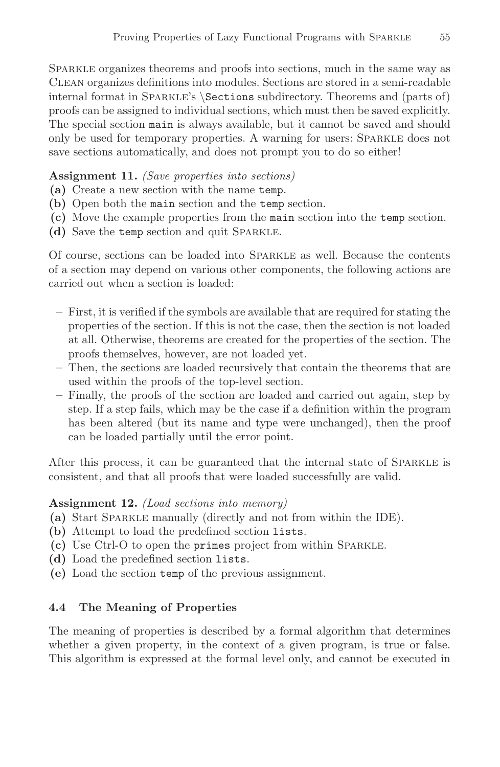Sparkle organizes theorems and proofs into sections, much in the same way as Clean organizes definitions into modules. Sections are stored in a semi-readable internal format in SPARKLE's \Sections subdirectory. Theorems and (parts of) proofs can be assigned to individual sections, which must then be saved explicitly. The special section main is always available, but it cannot be saved and should only be used for temporary properties. A warning for users: Sparkle does not save sections automatically, and does not prompt you to do so either!

# **Assignment 11.** *(Save properties into sections)*

- **(a)** Create a new section with the name temp.
- **(b)** Open both the main section and the temp section.
- **(c)** Move the example properties from the main section into the temp section.
- **(d)** Save the temp section and quit Sparkle.

Of course, sections can be loaded into Sparkle as well. Because the contents of a section may depend on various other components, the following actions are carried out when a section is loaded:

- **–** First, it is verified if the symbols are available that are required for stating the properties of the section. If this is not the case, then the section is not loaded at all. Otherwise, theorems are created for the properties of the section. The proofs themselves, however, are not loaded yet.
- **–** Then, the sections are loaded recursively that contain the theorems that are used within the proofs of the top-level section.
- **–** Finally, the proofs of the section are loaded and carried out again, step by step. If a step fails, which may be the case if a definition within the program has been altered (but its name and type were unchanged), then the proof can be loaded partially until the error point.

After this process, it can be guaranteed that the internal state of Sparkle is consistent, and that all proofs that were loaded successfully are valid.

# **Assignment 12.** *(Load sections into memory)*

- **(a)** Start Sparkle manually (directly and not from within the IDE).
- **(b)** Attempt to load the predefined section lists.
- **(c)** Use Ctrl-O to open the primes project from within Sparkle.
- **(d)** Load the predefined section lists.
- **(e)** Load the section temp of the previous assignment.

# <span id="page-14-0"></span>**4.4 The Meaning of Properties**

The meaning of properties is described by a formal algorithm that determines whether a given property, in the context of a given program, is true or false. This algorithm is expressed at the formal level only, and cannot be executed in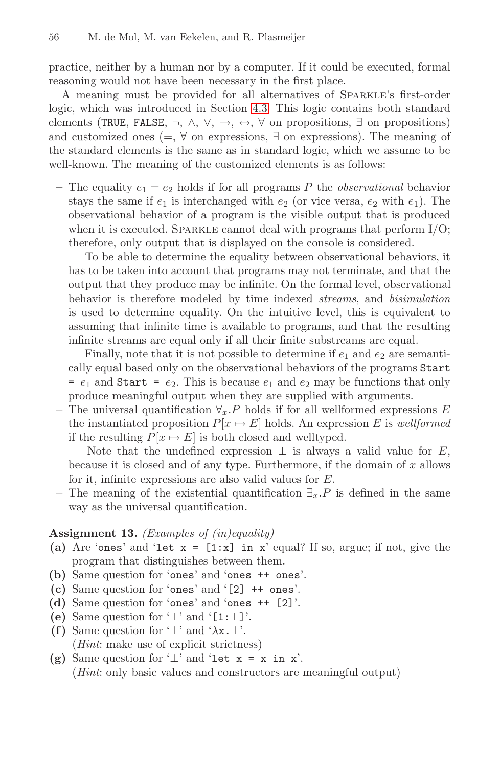practice, neither by a human nor by a computer. If it could be executed, formal reasoning would not have been necessary in the first place.

A meaning must be provided for all alternatives of Sparkle's first-order logic, which was introduced in Section 4.3. This logic contains both standard elements (TRUE, FALSE,  $\neg$ ,  $\wedge$ ,  $\vee$ ,  $\rightarrow$ ,  $\leftrightarrow$ ,  $\forall$  on propositions,  $\exists$  on propositions) and customized ones (=,  $\forall$  on expressions,  $\exists$  on expressions). The meaning of the standard elements is the same as in standard logic, which we assume to be well-known. The meaning of the customized elements is as follows:

– The equality  $e_1 = e_2$  holds if for all programs P the *observational* behavior stays the same if  $e_1$  is interchanged with  $e_2$  (or vice versa,  $e_2$  with  $e_1$ ). The observational behavior of a program is the visible output that is produced when it is executed. SPARKLE cannot deal with programs that perform  $I/O$ ; therefore, only output that is displayed on the console is considered.

To be able to determine the equality between observational behaviors, it has to be taken into account that programs may not terminate, and that the output that they produce may be infinite. On the formal level, observational behavior is therefore modeled by time indexed *streams*, and *bisimulation* is used to determine equality. On the intuitive level, this is equivalent to assuming that infinite time is available to programs, and that the resulting infinite streams are equal only if all their finite substreams are equal.

Finally, note that it is not possible to determine if  $e_1$  and  $e_2$  are semantically equal based only on the observational behaviors of the programs Start  $= e_1$  and Start  $= e_2$ . This is because  $e_1$  and  $e_2$  may be functions that only produce meaningful output when they are supplied with arguments.

**–** The universal quantification <sup>∀</sup>*x*.P holds if for all wellformed expressions <sup>E</sup> the instantiated proposition  $P[x \mapsto E]$  holds. An expression E is *wellformed* if the resulting  $P[x \mapsto E]$  is both closed and welltyped.

Note that the undefined expression  $\perp$  is always a valid value for E, because it is closed and of any type. Furthermore, if the domain of  $x$  allows for it, infinite expressions are also valid values for E.

The meaning of the existential quantification  $\exists_x \cdot P$  is defined in the same way as the universal quantification.

## **Assignment 13.** *(Examples of (in)equality)*

- (a) Are 'ones' and 'let  $x = [1:x]$  in x' equal? If so, argue; if not, give the program that distinguishes between them.
- **(b)** Same question for 'ones' and 'ones ++ ones'.
- **(c)** Same question for 'ones' and '[2] ++ ones'.
- **(d)** Same question for 'ones' and 'ones ++ [2]'.
- (e) Same question for  $\perp$  and  $\lfloor 1:\perp \rfloor$ .
- **(f)** Same question for  $' \perp'$  and  $'\lambda x \perp'$ . (*Hint*: make use of explicit strictness)
- **(g)** Same question for  $\perp$  and  $\cdot$  let  $x = x$  in x'. (*Hint*: only basic values and constructors are meaningful output)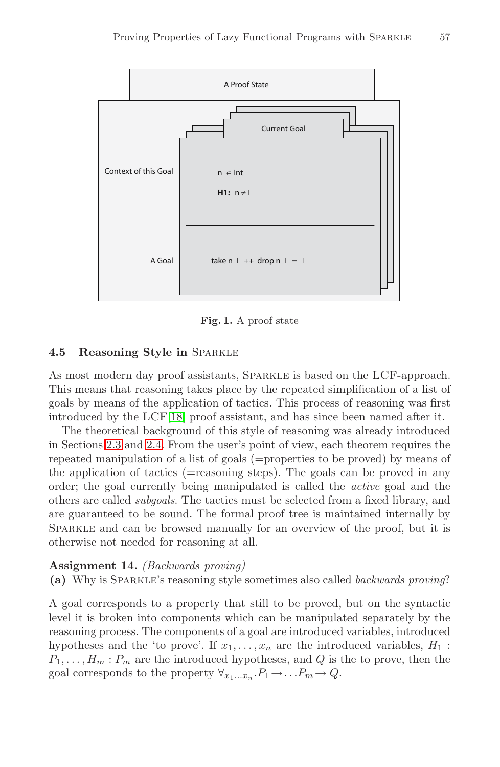

**Fig. 1.** A proof state

### <span id="page-16-0"></span>**4.5 Reasoning Style in** Sparkle

As most modern day proof assistants, Sparkle is based on the LCF-approach. This means that reasoning takes place by the repeated simplification of a list of goals by means of the application of tactics. This process of reasoning was first introduced by the LCF[18] proof assistant, and has since been named after it.

The theoretical background of this style of reasoning was already introduced in Sections 2.3 and 2.4. From the user's point of view, each theorem requires the repeated manipulation of a list of goals (=properties to be proved) by means of the application of tactics ( $=$ reasoning steps). The goals can be proved in any order; the goal currently being manipulated is called the *active* goal and the others are called *subgoals*. The tactics must be selected from a fixed library, and are guaranteed to be sound. The formal proof tree is maintained internally by Sparkle and can be browsed manually for an overview of the proof, but it is otherwise not needed for reasoning at all.

### **Assignment 14.** *(Backwards proving)*

**(a)** Why is Sparkle's reasoning style sometimes also called *backwards proving*?

A goal corresponds to a property that still to be proved, but on the syntactic level it is broken into components which can be manipulated separately by the reasoning process. The components of a goal are introduced variables, introduced hypotheses and the 'to prove'. If  $x_1, \ldots, x_n$  are the introduced variables,  $H_1$ :  $P_1, \ldots, H_m : P_m$  are the introduced hypotheses, and Q is the to prove, then the goal corresponds to the property  $\forall_{x_1...x_n} P_1 \rightarrow ... P_m \rightarrow Q$ .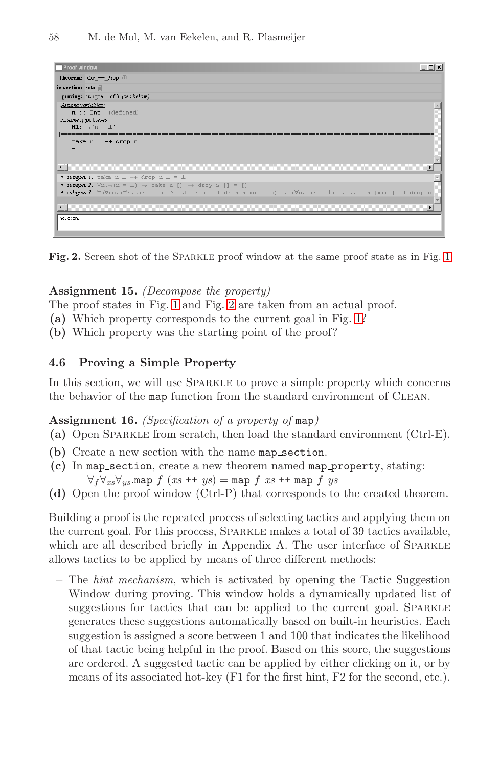#### 58 M. de Mol, M. van Eekelen, and R. Plasmeijer



<span id="page-17-0"></span>Fig. 2. Screen shot of the SPARKLE proof window at the same proof state as in Fig. 1

#### **Assignment 15.** *(Decompose the property)*

The proof states in Fig. 1 and Fig. 2 are taken from an actual proof.

- **(a)** Which property corresponds to the current goal in Fig. 1?
- **(b)** Which property was the starting point of the proof?

#### **4.6 Proving a Simple Property**

In this section, we will use Sparkle to prove a simple property which concerns the behavior of the map function from the standard environment of Clean.

**Assignment 16.** *(Specification of a property of* map*)*

**(a)** Open Sparkle from scratch, then load the standard environment (Ctrl-E).

- **(b)** Create a new section with the name map section.
- **(c)** In map section, create a new theorem named map property, stating:
	- <sup>∀</sup>*f* <sup>∀</sup>*xs*∀*ys*.map <sup>f</sup> (*xs* ++ *ys*) = map <sup>f</sup> *xs* ++ map <sup>f</sup> *ys*

**(d)** Open the proof window (Ctrl-P) that corresponds to the created theorem.

Building a proof is the repeated process of selecting tactics and applying them on the current goal. For this process, Sparkle makes a total of 39 tactics available, which are all described briefly in Appendix A. The user interface of SPARKLE allows tactics to be applied by means of three different methods:

**–** The *hint mechanism*, which is activated by opening the Tactic Suggestion Window during proving. This window holds a dynamically updated list of suggestions for tactics that can be applied to the current goal. SPARKLE generates these suggestions automatically based on built-in heuristics. Each suggestion is assigned a score between 1 and 100 that indicates the likelihood of that tactic being helpful in the proof. Based on this score, the suggestions are ordered. A suggested tactic can be applied by either clicking on it, or by means of its associated hot-key (F1 for the first hint, F2 for the second, etc.).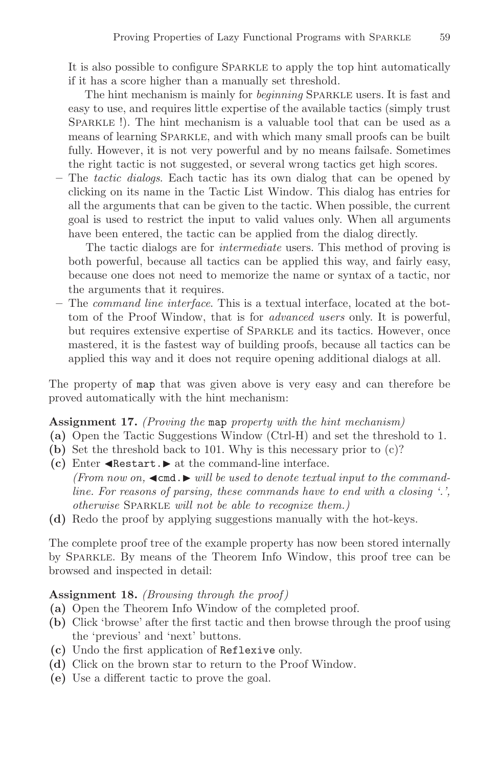It is also possible to configure Sparkle to apply the top hint automatically if it has a score higher than a manually set threshold.

The hint mechanism is mainly for *beginning* Sparkle users. It is fast and easy to use, and requires little expertise of the available tactics (simply trust Sparkle !). The hint mechanism is a valuable tool that can be used as a means of learning Sparkle, and with which many small proofs can be built fully. However, it is not very powerful and by no means failsafe. Sometimes the right tactic is not suggested, or several wrong tactics get high scores.

**–** The *tactic dialogs*. Each tactic has its own dialog that can be opened by clicking on its name in the Tactic List Window. This dialog has entries for all the arguments that can be given to the tactic. When possible, the current goal is used to restrict the input to valid values only. When all arguments have been entered, the tactic can be applied from the dialog directly.

The tactic dialogs are for *intermediate* users. This method of proving is both powerful, because all tactics can be applied this way, and fairly easy, because one does not need to memorize the name or syntax of a tactic, nor the arguments that it requires.

**–** The *command line interface*. This is a textual interface, located at the bottom of the Proof Window, that is for *advanced users* only. It is powerful, but requires extensive expertise of Sparkle and its tactics. However, once mastered, it is the fastest way of building proofs, because all tactics can be applied this way and it does not require opening additional dialogs at all.

The property of map that was given above is very easy and can therefore be proved automatically with the hint mechanism:

#### **Assignment 17.** *(Proving the* map *property with the hint mechanism)*

- **(a)** Open the Tactic Suggestions Window (Ctrl-H) and set the threshold to 1.
- **(b)** Set the threshold back to 101. Why is this necessary prior to (c)?
- (c) Enter  $\blacktriangleleft$ Restart.  $\blacktriangleright$  at the command-line interface.  $(From now on, \blacktriangleleft .\blacktriangleright$  will be used to denote textual input to the command*line. For reasons of parsing, these commands have to end with a closing '.', otherwise* Sparkle *will not be able to recognize them.)*
- **(d)** Redo the proof by applying suggestions manually with the hot-keys.

The complete proof tree of the example property has now been stored internally by Sparkle. By means of the Theorem Info Window, this proof tree can be browsed and inspected in detail:

#### **Assignment 18.** *(Browsing through the proof )*

- **(a)** Open the Theorem Info Window of the completed proof.
- **(b)** Click 'browse' after the first tactic and then browse through the proof using the 'previous' and 'next' buttons.
- **(c)** Undo the first application of Reflexive only.
- **(d)** Click on the brown star to return to the Proof Window.
- **(e)** Use a different tactic to prove the goal.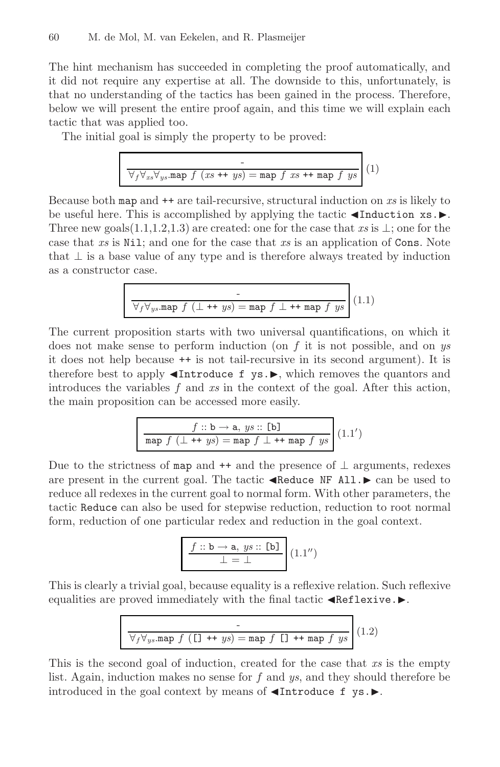The hint mechanism has succeeded in completing the proof automatically, and it did not require any expertise at all. The downside to this, unfortunately, is that no understanding of the tactics has been gained in the process. Therefore, below we will present the entire proof again, and this time we will explain each tactic that was applied too.

The initial goal is simply the property to be proved:

$$
\overline{\forall_f \forall_{xs} \forall_{ys} \text{map } f(xs + ys) = \text{map } f(xs + ys) = (1)
$$

Because both map and ++ are tail-recursive, structural induction on *xs* is likely to be useful here. This is accomplished by applying the tactic  $\triangleleft$ Induction xs. $\triangleright$ . Three new goals(1.1,1.2,1.3) are created: one for the case that *xs* is ⊥; one for the case that *xs* is Nil; and one for the case that *xs* is an application of Cons. Note that  $\perp$  is a base value of any type and is therefore always treated by induction as a constructor case.

$$
\frac{1}{\forall_f \forall_{ys} \text{map } f \ (\perp \text{++ } ys) = \text{map } f \ \perp \text{++ } \text{map } f \text{ ys}} \Bigg| (1.1)
$$

The current proposition starts with two universal quantifications, on which it does not make sense to perform induction (on f it is not possible, and on *ys* it does not help because ++ is not tail-recursive in its second argument). It is therefore best to apply  $\blacktriangleleft$ Introduce f ys. $\blacktriangleright$ , which removes the quantors and introduces the variables f and *xs* in the context of the goal. After this action, the main proposition can be accessed more easily.

$$
\frac{f::\mathbf{b}\rightarrow\mathbf{a},\;ys::\text{ [b]}}{\text{map }f\;(\perp\text{++ }ys)=\text{map }f\perp\text{++ } \text{map }f\;ys}\Bigg|(1.1')
$$

Due to the strictness of map and  $++$  and the presence of  $\perp$  arguments, redexes are present in the current goal. The tactic  $\blacktriangleleft$ Reduce NF All.  $\blacktriangleright$  can be used to reduce all redexes in the current goal to normal form. With other parameters, the tactic Reduce can also be used for stepwise reduction, reduction to root normal form, reduction of one particular redex and reduction in the goal context.

$$
\frac{f::b\rightarrow a, ys::[b]}{\perp = \perp} (1.1'')
$$

This is clearly a trivial goal, because equality is a reflexive relation. Such reflexive equalities are proved immediately with the final tactic  $\blacktriangleleft$ Reflexive. $\blacktriangleright$ .

$$
\frac{1}{\forall f \forall y_s \text{map } f \text{ (I)} + t \text{ ys}} = \text{map } f \text{ [I]} + \text{map } f \text{ ys} \qquad (1.2)
$$

This is the second goal of induction, created for the case that *xs* is the empty list. Again, induction makes no sense for f and *ys*, and they should therefore be introduced in the goal context by means of  $\triangleleft$ Introduce f ys. $\blacktriangleright$ .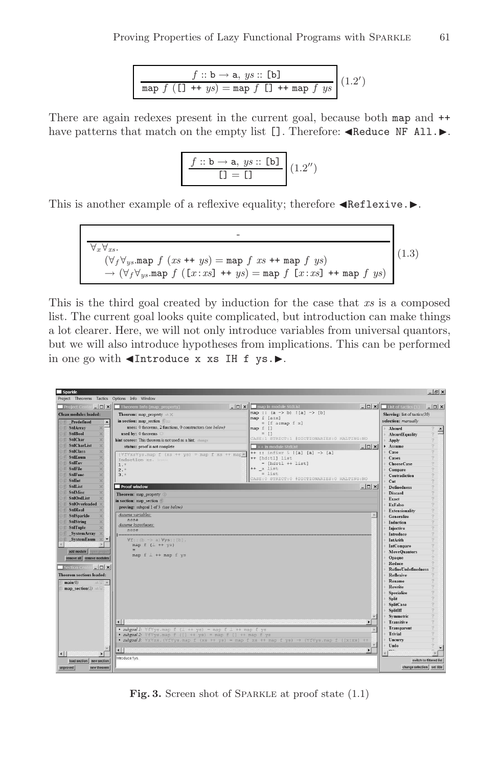$$
\frac{f::b \rightarrow a, ys::[b]}{\text{map } f([1 + ys) = \text{map } f[1 + \text{map } fys]} (1.2')
$$

There are again redexes present in the current goal, because both map and ++ have patterns that match on the empty list  $[]$ . Therefore: **Reduce NF All.** $\blacktriangleright$ .

$$
\frac{f::\mathbf{b}\rightarrow\mathbf{a},\;ys::\text{ [b]}}{\text{[l] = [l]}}\left(1.2''\right)
$$

This is another example of a reflexive equality; therefore  $\blacktriangleleft$ Reflexive. $\blacktriangleright$ .

$$
\overline{\forall_x \forall_{xs}.}
$$
\n
$$
(\forall_f \forall_{ys} \text{map } f (xs + ys) = \text{map } f xs + \text{map } f ys)
$$
\n
$$
\rightarrow (\forall_f \forall_{ys} \text{map } f ([x:xs] + ys) = \text{map } f [x:xs] + \text{map } f ys)
$$
\n(1.3)

This is the third goal created by induction for the case that *xs* is a composed list. The current goal looks quite complicated, but introduction can make things a lot clearer. Here, we will not only introduce variables from universal quantors, but we will also introduce hypotheses from implications. This can be performed in one go with  $\blacktriangleleft$ Introduce x xs IH f ys. $\blacktriangleright$ .



Fig. 3. Screen shot of Sparkle at proof state  $(1.1)$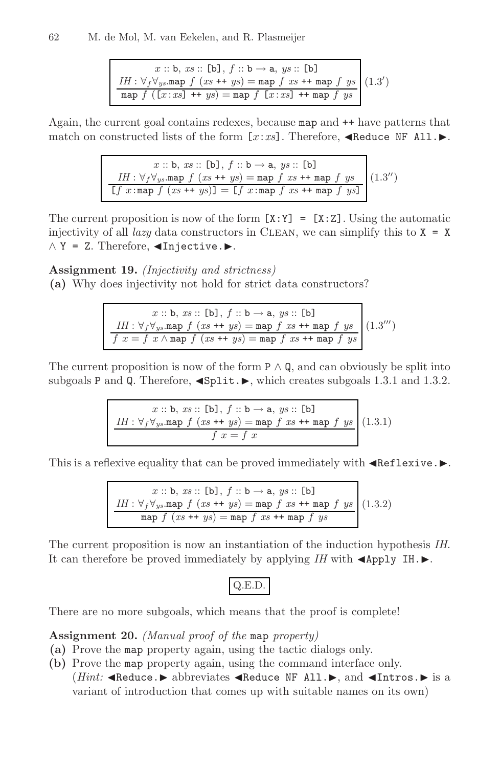```
x :: b, xs :: [b], f :: b \rightarrow a, ys :: [b]IH: \forall_f \forall_{ys}.map f(xs + 1ys) =map f(xs + 1ys)\mathbb{R} f\left([x:xs] \dashrightarrow ys\right) = \mathbb{R} \mathbb{R} f\left[x:xs\right] \dashrightarrow \mathbb{R} \mathbb{R} f\left(ys\right)(1.3')
```
Again, the current goal contains redexes, because map and ++ have patterns that match on constructed lists of the form  $[x:xs]$ . Therefore, **Reduce NF All.**..

> $x :: b, xs :: [b], f :: b \rightarrow a, ys :: [b]$  $IH: \forall_f \forall_{ys}$ .map  $f(xs + 1ys) =$ map  $f(xs + 1ys)$  $[f x := p \, f (xs ++ ys)] = [f x := p \, f xs ++ map f ys]$  $(1.3'')$

The current proposition is now of the form  $[X:Y] = [X:Z]$ . Using the automatic injectivity of all *lazy* data constructors in CLEAN, we can simplify this to  $X = X$  $\land$  Y = Z. Therefore,  $\blacktriangle$ Injective. $\blacktriangleright$ .

**Assignment 19.** *(Injectivity and strictness)*

**(a)** Why does injectivity not hold for strict data constructors?

x:: b, xs:: [b], f:: b \rightarrow a, ys:: [b]  
\n
$$
\frac{IH: \forall f \forall y_s \text{map } f (xs + ys) = \text{map } f xs + \text{map } f ys}{f x = f x \land \text{map } f (xs + ys) = \text{map } f xs + \text{map } f ys}
$$
\n(1.3'')

The current proposition is now of the form  $P \wedge Q$ , and can obviously be split into subgoals P and Q. Therefore,  $\blacktriangleleft$ Split. $\blacktriangleright$ , which creates subgoals 1.3.1 and 1.3.2.

$$
x :: b, xs :: [b], f :: b \rightarrow a, ys :: [b]
$$
  

$$
\underline{IH} : \forall_{f} \forall_{ys} \text{map } f \text{ (xs++ ys)} = \text{map } f \text{ xs++ map } f \text{ ys}
$$
  

$$
f \text{ x = } f \text{ x}
$$
 (1.3.1)

This is a reflexive equality that can be proved immediately with  $\blacktriangleleft$ Reflexive.

$$
\begin{array}{c|c}\nx :: \text{b, } xs :: \text{ [b], } f :: \text{b} \rightarrow \text{a, } ys :: \text{ [b] } \\
\hline\nIH : \forall_f \forall_{ys} \text{.{map}} \ f \ (xs \text{++ } ys) = \text{map } f \ xs \text{++ } \text{map } f \ ys \\
\text{map } f \ (xs \text{++ } ys) = \text{map } f \ xs \text{++ } \text{map } f \ ys\n\end{array}\n\bigg|\ (1.3.2)
$$

The current proposition is now an instantiation of the induction hypothesis *IH*. It can therefore be proved immediately by applying  $IH$  with  $\blacktriangle$ Apply IH. $\blacktriangleright$ .

# Q.E.D.

There are no more subgoals, which means that the proof is complete!

**Assignment 20.** *(Manual proof of the* map *property)*

- **(a)** Prove the map property again, using the tactic dialogs only.
- **(b)** Prove the map property again, using the command interface only. (*Hint:*  $\blacktriangleleft$ Reduce.  $\blacktriangleright$  abbreviates  $\blacktriangleleft$ Reduce NF All.  $\blacktriangleright$ , and  $\blacktriangleleft$ Intros.  $\blacktriangleright$  is a variant of introduction that comes up with suitable names on its own)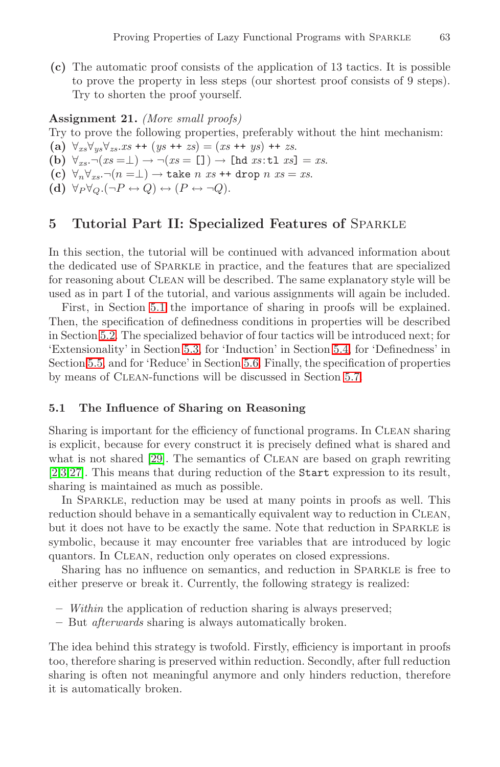**(c)** The automatic proof consists of the application of 13 tactics. It is possible to prove the property in less steps (our shortest proof consists of 9 steps). Try to shorten the proof yourself.

<span id="page-22-0"></span>**Assignment 21.** *(More small proofs)*

Try to prove the following properties, preferably without the hint mechanism:

- **(a)**  $\forall x s \forall y s \forall z s \cdot x s$  ++  $(ys + zs) = (xs + ys) + ts$ .
- **(b)**  $\forall x s. \neg (xs = \bot) \rightarrow \neg (xs = \bot) \rightarrow [hd xs : t \bot xs] = xs.$
- **(c)**  $\forall n \forall x s. \neg (n = \bot) \rightarrow \text{take } n \text{ } xs + \text{drop } n \text{ } xs = xs.$
- **(d)**  $\forall P \forall Q . (\neg P \leftrightarrow Q) \leftrightarrow (P \leftrightarrow \neg Q).$

# **5 Tutorial Part II: Specialized Features of** Sparkle

In this [sect](#page-25-0)ion, the [tut](#page-29-0)orial will be c[ontin](#page-26-0)ued with advanced information about the dedicated use of Sparkle in pract[ice,](#page-30-0) and the features that are specialized for reasoning about Clean will be described. The same explanatory style will be used as in part I of the tutorial, and various assignments will again be included.

First, in Section 5.1 the importance of sharing in proofs will be explained. Then, the specification of definedness conditions in properties will be described in Section 5.2. The specialized behavior of four tactics will be introduced next; for '[Ext](#page-35-2)ensionality' in Section 5.3, for 'Induction' in Section 5.4, for 'Definedness' in Section 5.5, and for 'Reduce' in Section 5.6. Finally, the specification of properties by means of Clean-functions will be discussed in Section 5.7.

### **5.1 The Influence of Sharing on Reasoning**

Sharing is important for the efficiency of functional programs. In Clean sharing is explicit, because for every construct it is precisely defined what is shared and what is not shared [29]. The semantics of CLEAN are based on graph rewriting [2,3,27]. This means that during reduction of the Start expression to its result, sharing is maintained as much as possible.

In SPARKLE, reduction may be used at many points in proofs as well. This reduction should behave in a semantically equivalent way to reduction in CLEAN, but it does not have to be exactly the same. Note that reduction in Sparkle is symbolic, because it may encounter free variables that are introduced by logic quantors. In Clean, reduction only operates on closed expressions.

Sharing has no influence on semantics, and reduction in Sparkle is free to either preserve or break it. Currently, the following strategy is realized:

- **–** *Within* the application of reduction sharing is always preserved;
- **–** But *afterwards* sharing is always automatically broken.

The idea behind this strategy is twofold. Firstly, efficiency is important in proofs too, therefore sharing is preserved within reduction. Secondly, after full reduction sharing is often not meaningful anymore and only hinders reduction, therefore it is automatically broken.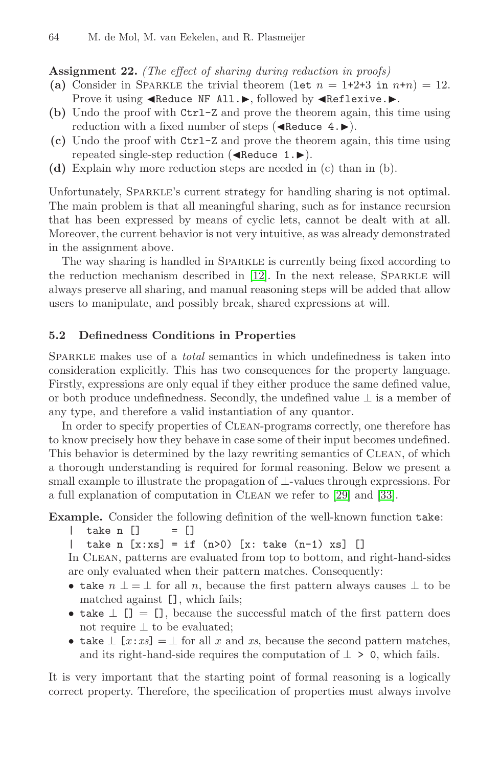#### 64 M. de Mol, M. van Eekelen, and R. Plasmeijer

**Assignment 22.** *(The effect of sharing during reduction in proofs)*

- (a) Consider in SPARKLE the trivial theorem (let  $n = 1+2+3$  in  $n+n$ ) = 12. Prove it using  $\blacktriangleleft$ Reduce NF All. $\blacktriangleright$ , followed by  $\blacktriangleleft$ Reflexive. $\blacktriangleright$ .
- **(b)** Undo the proof with Ctrl-Z and prove the theorem again, this time using reduction with a fixed number of steps ( $\blacktriangleleft$ Reduce 4. $\blacktriangleright$ ).
- **(c)** Undo the proof with Ctrl-Z and prove the theorem again, this time using repeated single-step reduction ( $\blacktriangleleft$ Reduce 1. $\blacktriangleright$ ).
- **(d)** Explain why mo[re r](#page-34-5)eduction steps are needed in (c) than in (b).

<span id="page-23-0"></span>Unfortunately, Sparkle's current strategy for handling sharing is not optimal. The main problem is that all meaningful sharing, such as for instance recursion that has been expressed by means of cyclic lets, cannot be dealt with at all. Moreover, the current behavior is not very intuitive, as was already demonstrated in the assignment above.

The way sharing is handled in Sparkle is currently being fixed according to the reduction mechanism described in [12]. In the next release, SPARKLE will always preserve all sharing, and manual reasoning steps will be added that allow users to manipulate, and possibly break, shared expressions at will.

#### **5.2 Definedness Conditions in Properties**

Sparkle makes use of a *total* semantics in which undefinedness is taken into consideration explicitly. This has two consequences for the property language. Firstly, expressions are only equal if t[hey](#page-35-2) eithe[r pr](#page-35-3)oduce the same defined value, or both produce undefinedness. Secondly, the undefined value  $\perp$  is a member of any type, and therefore a valid instantiation of any quantor.

In order to specify properties of Clean-programs correctly, one therefore has to know precisely how they behave in case some of their input becomes undefined. This behavior is determined by the lazy rewriting semantics of Clean, of which a thorough understanding is required for formal reasoning. Below we present a small example to illustrate the propagation of ⊥-values through expressions. For a full explanation of computation in Clean we refer to [29] and [33].

**Example.** Consider the following definition of the well-known function take:

| take n [] = []

| take n  $[x:xs] = if (n>0) [x: take (n-1) xs]$ 

In Clean, patterns are evaluated from top to bottom, and right-hand-sides are only evaluated when their pattern matches. Consequently:

- take  $n \perp = \perp$  for all n, because the first pattern always causes  $\perp$  to be matched against [], which fails;
- take  $\perp$  [] = [], because the successful match of the first pattern does not require ⊥ to be evaluated;
- take  $\perp$  [x:xs] =  $\perp$  for all x and xs, because the second pattern matches, and its right-hand-side requires the computation of  $\perp > 0$ , which fails.

It is very important that the starting point of formal reasoning is a logically correct property. Therefore, the specification of properties must always involve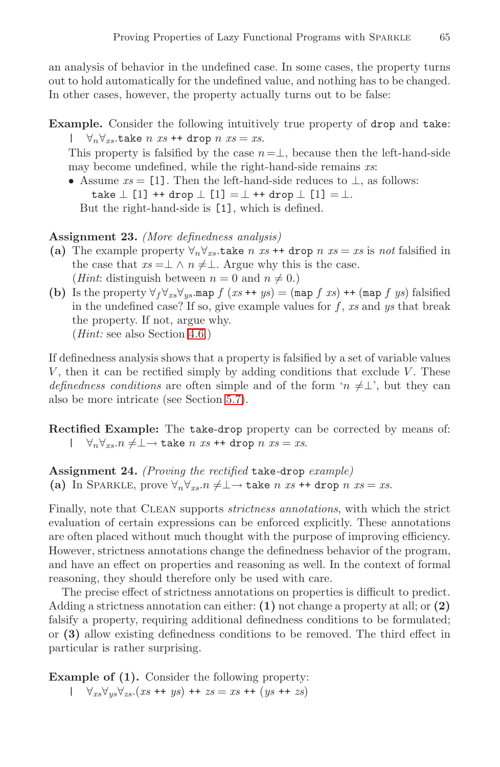an analysis of behavior in the undefined case. In some cases, the property turns out to hold automatically for the undefined value, and nothing has to be changed. In other cases, however, the property actually turns out to be false:

**Example.** Consider the following intuitively true property of drop and take: <sup>|</sup> <sup>∀</sup>*n*∀*xs*.take <sup>n</sup> *xs* ++ drop <sup>n</sup> *xs* <sup>=</sup> *xs*.

This property is falsified by the case  $n=\perp$ , because then the left-hand-side may become undefined, while the right-hand-side remains *xs*:

• Assume *xs* = [1]. Then the left-hand-side reduces to ⊥, as follows: take  $\perp$  [1] ++ drop  $\perp$  [1] =  $\perp$  ++ drop  $\perp$  [1] =  $\perp$ . But the right-hand-side is [1], which is defined.

**Assign[men](#page-17-0)t 23.** *(More definedness analysis)*

- (a) The example property  $\forall_n \forall_{xs}$  take *n xs* ++ drop *n xs* = *xs* is *not* falsified in the case that  $xs = \perp \wedge n \neq \perp$ . Argue why this is the case. (*Hint*: distinguish between  $n = 0$  and  $n \neq 0$ .)
- **(b)** Is the prop[erty](#page-30-0)  $\forall f \forall x s \forall y s$ .map  $f(xs + ys) = (map f xs) + (map f ys)$  falsified in the undefined case? If so, give example values for f, *xs* and *ys* that break the property. If not, argue why. (*Hint:* see also Section 4.6.)

If definedness analysis shows that a property is falsified by a set of variable values  $V$ , then it can be rectified simply by adding conditions that exclude  $V$ . These *definedness conditions* are often simple and of the form ' $n \neq \perp$ ', but they can also be more intricate (see Section 5.7).

**Rectified Example:** The take-drop property can be corrected by means of: |  $\forall n \forall x s \ldotp n \neq \perp \rightarrow$  take *n xs* ++ drop *n xs* = *xs*.

**Assignment 24.** *(Proving the rectified* take*-*drop *example)* (a) In SPARKLE, prove  $\forall_n \forall_{xs} . n \neq \perp \rightarrow$  take *n xs* ++ drop *n xs* = *xs*.

Finally, note that Clean supports *strictness annotations*, with which the strict evaluation of certain expressions can be enforced explicitly. These annotations are often placed without much thought with the purpose of improving efficiency. However, strictness annotations change the definedness behavior of the program, and have an effect on properties and reasoning as well. In the context of formal reasoning, they should therefore only be used with care.

The precise effect of strictness annotations on properties is difficult to predict. Adding a strictness annotation can either: **(1)** not change a property at all; or **(2)** falsify a property, requiring additional definedness conditions to be formulated; or **(3)** allow existing definedness conditions to be removed. The third effect in particular is rather surprising.

**Example of (1).** Consider the following property:

<sup>|</sup> <sup>∀</sup>*xs*∀*ys*∀*zs*.(*xs* ++ *ys*) ++ *zs* <sup>=</sup> *xs* ++ (*ys* ++ *zs*)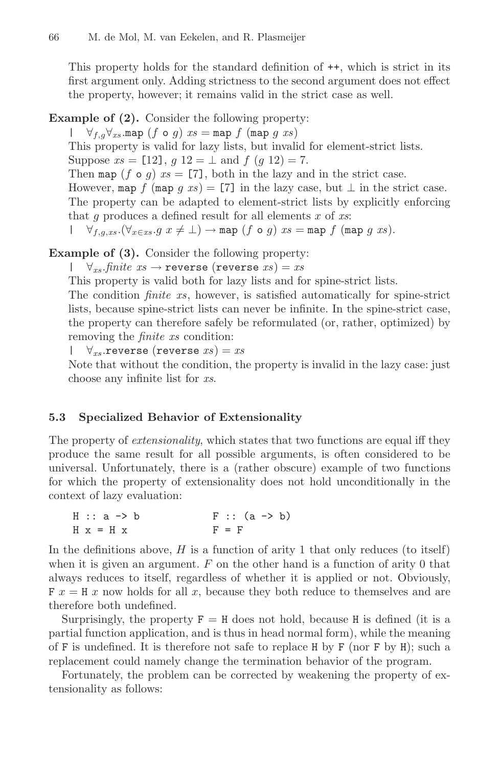This property holds for the standard definition of ++, which is strict in its first argument only. Adding strictness to the second argument does not effect the property, however; it remains valid in the strict case as well.

## **Example of (2).** Consider the following property:

<sup>|</sup> <sup>∀</sup>*f,g*∀*xs* .map (<sup>f</sup> <sup>o</sup> <sup>g</sup>) *xs* <sup>=</sup> map <sup>f</sup> (map <sup>g</sup> *xs*) This property is valid for lazy lists, but invalid for element-strict lists. Suppose  $xs = [12]$ ,  $q 12 = \perp$  and  $f (q 12) = 7$ . Then map  $(f \circ g)$   $xs = [7]$ , both in the lazy and in the strict case. However, map f (map  $g(xs) = [7]$  in the lazy case, but  $\perp$  in the strict case. The property can be adapted to element-strict lists by explicitly enforcing that g produces a defined result for all elements x of *xs*: |  $∀_{f,q,xs}.(∀_{x∈xs}.g x ≠ ⊥) → map (f o g) xs = map f (map g xs).$ 

**Example of (3).** Consider the following property:

<sup>|</sup> <sup>∀</sup>*xs* .*finite xs* <sup>→</sup> reverse (reverse *xs*) = *xs*

This property is valid both for lazy lists and for spine-strict lists.

The condition *finite xs*, however, is satisfied automatically for spine-strict lists, because spine-strict lists can never be infinite. In the spine-strict case, the property can therefore safely be reformulated (or, rather, optimized) by removing the *finite xs* condition:

 $\forall x s.$ reverse (reverse  $xs$ ) =  $xs$ 

Note that without the condition, the property is invalid in the lazy case: just choose any infinite list for *xs*.

# <span id="page-25-0"></span>**5.3 Specialized Behavior of Extensionality**

The property of *extensionality*, which states that two functions are equal iff they produce the same result for all possible arguments, is often considered to be universal. Unfortunately, there is a (rather obscure) example of two functions for which the property of extensionality does not hold unconditionally in the context of lazy evaluation:

| H :: a -> b | $F :: (a \rightarrow b)$ |
|-------------|--------------------------|
| $H x = H x$ | $F = F$                  |

In the definitions above,  $H$  is a function of arity 1 that only reduces (to itself) when it is given an argument.  $F$  on the other hand is a function of arity 0 that always reduces to itself, regardless of whether it is applied or not. Obviously,  $F x = H x$  now holds for all x, because they both reduce to themselves and are therefore both undefined.

Surprisingly, the property  $F = H$  does not hold, because H is defined (it is a partial function application, and is thus in head normal form), while the meaning of F is undefined. It is therefore not safe to replace H by F (nor F by H); such a replacement could namely change the termination behavior of the program.

Fortunately, the problem can be corrected by weakening the property of extensionality as follows: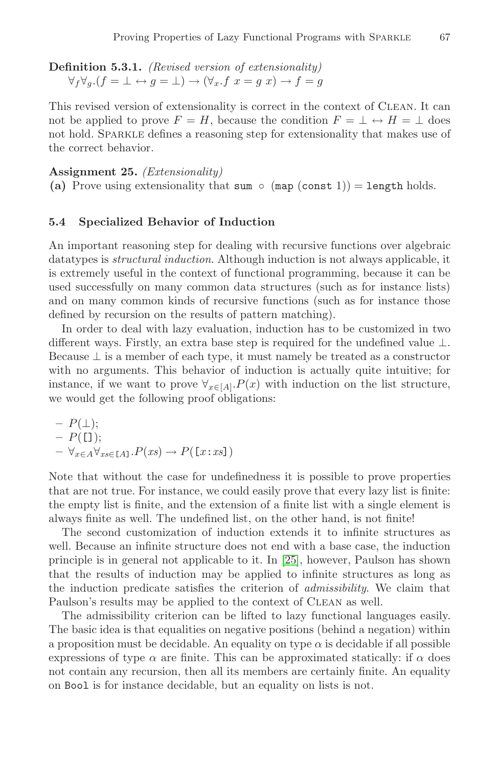**Definition 5.3.1.** *(Revised version of extensionality)*  $\forall_f \forall_g \cdot (f = \bot \leftrightarrow g = \bot) \rightarrow (\forall_x \cdot f \ x = g \ x) \rightarrow f = g$ 

<span id="page-26-0"></span>This revised version of extensionality is correct in the context of Clean. It can not be applied to prove  $F = H$ , because the condition  $F = \perp \leftrightarrow H = \perp$  does not hold. Sparkle defines a reasoning step for extensionality that makes use of the correct behavior.

**Assignment 25.** *(Extensionality)* (a) Prove using extensionality that sum  $\circ$  (map (const 1)) = length holds.

#### **5.4 Specialized Behavior of Induction**

An important reasoning step for dealing with recursive functions over algebraic datatypes is *structural induction*. Although induction is not always applicable, it is extremely useful in the context of functional programming, because it can be used successfully on many common data structures (such as for instance lists) and on many common kinds of recursive functions (such as for instance those defined by recursion on the results of pattern matching).

In order to deal with lazy evaluation, induction has to be customized in two different ways. Firstly, an extra base step is required for the undefined value ⊥. Because  $\perp$  is a member of each type, it must namely be treated as a constructor with no arguments. This behavior of induction is actually quite intuitive; for instance, if we want to prove  $\forall_{x \in [A]} P(x)$  with induction on the list structure, we would get the following proof obligations:

$$
- P(\perp);
$$
  
- P(\Pi);  
-  $\forall_{x \in A} \forall_{xs \in [A]} P(xs) \rightarrow P([x:xs])$ 

Note that without the case for undefinedness it is possible to prove properties that are not true. For instance, we could easily prove that every lazy list is finite: the empty list is finite, and the extension of a finite list with a single element is always finite as well. The undefined list, on the other hand, is not finite!

The second customization of induction extends it to infinite structures as well. Because an infinite structure does not end with a base case, the induction principle is in general not applicable to it. In [25], however, Paulson has shown that the results of induction may be applied to infinite structures as long as the induction predicate satisfies the criterion of *admissibility*. We claim that Paulson's results may be applied to the context of CLEAN as well.

The admissibility criterion can be lifted to lazy functional languages easily. The basic idea is that equalities on negative positions (behind a negation) within a proposition must be decidable. An equality on type  $\alpha$  is decidable if all possible expressions of type  $\alpha$  are finite. This can be approximated statically: if  $\alpha$  does not contain any recursion, then all its members are certainly finite. An equality on Bool is for instance decidable, but an equality on lists is not.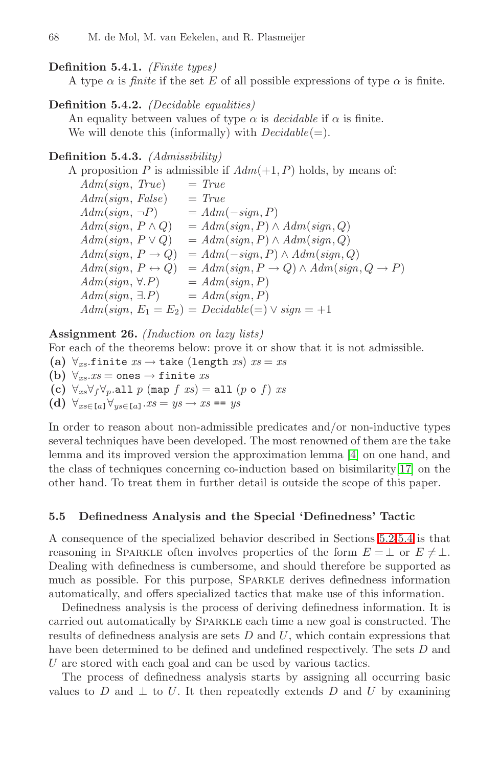### **Definition 5.4.1.** *(Finite types)*

A type  $\alpha$  is *finite* if the set E of all possible expressions of type  $\alpha$  is finite.

# **Definition 5.4.2.** *(Decidable equalities)*

An equality between values of type  $\alpha$  is *decidable* if  $\alpha$  is finite. We will denote this (informally) with  $Decidable(=)$ .

### **Definition 5.4.3.** *(Admissibility)*

A proposition P is admissible if  $Adm(+1, P)$  holds, by means of:<br> $Adm(sign, True) = True$  $Adm(sign, True)$  = *True*<br> $Adm(sign, False)$  = *True*  $Adm(sign, False)$ <br> $Adm(sign, \neg P)$ *Adm*(*sign*,  $\neg P$ ) = *Adm*( $\neg sign, P$ )<br>*Adm*(*sign*,  $P \wedge Q$ ) = *Adm*(*sign*,  $P$ ) /  $Adm(sign, P \wedge Q) = Adm(sign, P) \wedge Adm(sign, Q)$ <br> $Adm(sign, P \vee Q) = Adm(sign, P) \wedge Adm(sign, Q)$  $Adm(sign, P \vee Q) = Adm(sign, P) \wedge Adm(sign, Q)$ <br>  $Adm(sin, P \rightarrow Q) = Adm(-sim, P) \wedge Adm(sin, Q)$  $Adm(sign, P \rightarrow Q) = Adm(-sign, P) \wedge Adm(sign, Q)$ <br>  $Adm(sign, P \rightarrow Q) = Adm(sign, P \rightarrow Q) \wedge Adm(sign)$  $Adm(sign, P \leftrightarrow Q) = Adm(sign, P \rightarrow Q) \wedge Adm(sign, Q \rightarrow P)$ <br> $Adm(sign, \forall P) = Adm(sign, P)$  $Adm(sign, \forall P)$  =  $Adm(sign, P)$ <br> $Adm(sign, \exists P)$  =  $Adm(sign, P)$  $Adm(sign, \exists.P) = Adm(sign, P)$ <br> $Adm(sin, F_1 - F_2) = Decidable(-1)$  $Adm(sign, E_1 = E_2) = Decideidable(=) \vee sign = +1$ 

**Assignment 26.** *(Induction on lazy lists)*

For each of the theorems below: prove it [o](#page-33-1)r show that it is not admissible.

- **(a)**  $\forall$ <sub>*xs*</sub>.finite *xs*  $\rightarrow$  take (length *xs*) *xs* = *xs*
- **(b)**  $\forall$ <sub>*xs</sub>.xs* = ones  $\rightarrow$  finite *xs*</sub>
- **(c)**  $\forall x s \forall f \forall p$ .all p (map f *xs*) = all (p o f) *xs*
- **(d)** <sup>∀</sup>*xs*∈[*a*]∀*ys*∈[*a*].*xs* <sup>=</sup> *ys* <sup>→</sup> *xs* == *ys*

In order to reason about non-admissible pred[icat](#page-23-0)[es an](#page-26-0)d/or non-inductive types several techniques have been developed. The most renowned of them are the take lemma and its improved version the approximation lemma [4] on one hand, and the class of techniques concerning co-induction based on bisimilarity[17] on the other hand. To treat them in further detail is outside the scope of this paper.

#### **5.5 Definedness Analysis and the Special 'Definedness' Tactic**

A consequence of the specialized behavior described in Sections 5.2-5.4 is that reasoning in SPARKLE often involves properties of the form  $E = \perp$  or  $E \neq \perp$ . Dealing with definedness is cumbersome, and should therefore be supported as much as possible. For this purpose, Sparkle derives definedness information automatically, and offers specialized tactics that make use of this information.

Definedness analysis is the process of deriving definedness information. It is carried out automatically by Sparkle each time a new goal is constructed. The results of definedness analysis are sets  $D$  and  $U$ , which contain expressions that have been determined to be defined and undefined respectively. The sets D and U are stored with each goal and can be used by various tactics.

The process of definedness analysis starts by assigning all occurring basic values to D and  $\perp$  to U. It then repeatedly extends D and U by examining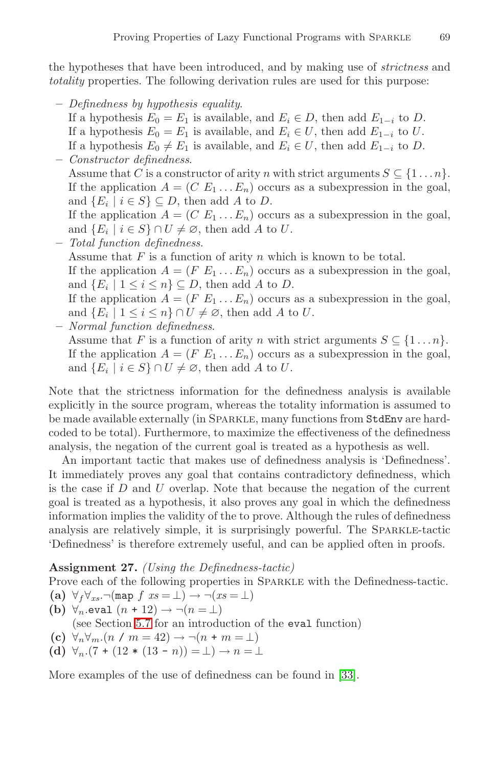the hypotheses that have been introduced, and by making use of *strictness* and *totality* properties. The following derivation rules are used for this purpose:

**–** *Definedness by hypothesis equality*.

If a hypothesis  $E_0 = E_1$  is available, and  $E_i \in D$ , then add  $E_{1-i}$  to D. If a hypothesis  $E_0 = E_1$  is available, and  $E_i \in U$ , then add  $E_{1-i}$  to U. If a hypothesis  $E_0 \neq E_1$  is available, and  $E_i \in U$ , then add  $E_{1-i}$  to D. **–** *Constructor definedness*.

Assume that C is a constructor of arity n with strict arguments  $S \subseteq \{1 \dots n\}$ . If the application  $A = (C E_1 ... E_n)$  occurs as a subexpression in the goal, and  $\{E_i \mid i \in S\} \subseteq D$ , then add A to D.

If the application  $A = (C E_1 ... E_n)$  occurs as a subexpression in the goal, and  ${E_i \mid i \in S} \cap U \neq \emptyset$ , then add A to U.

**–** *Total function definedness*.

Assume that  $F$  is a function of arity  $n$  which is known to be total.

If the application  $A = (F E_1 ... E_n)$  occurs as a subexpression in the goal, and  $\{E_i \mid 1 \leq i \leq n\} \subseteq D$ , then add A to D.

If the application  $A = (F E_1 ... E_n)$  occurs as a subexpression in the goal, and  $\{E_i \mid 1 \leq i \leq n\} \cap U \neq \emptyset$ , then add A to U.

**–** *Normal function definedness*.

Assume that F is a function of arity n with strict arguments  $S \subseteq \{1 \dots n\}$ . If the application  $A = (F E_1 ... E_n)$  occurs as a subexpression in the goal, and  $\{E_i \mid i \in S\} \cap U \neq \emptyset$ , then add A to U.

Note that the strictness information for the definedness analysis is available explicitly in the source program, whereas the totality information is assumed to be made available externally (in Sparkle, many functions from StdEnv are hardcoded to be total). Furthermore, to maximize the effectiveness of the definedness analysis, the negation of the current goal is treated as a hypothesis as well.

An important tactic that makes use of definedness analysis is 'Definedness'. It immediately proves any goal that contains contradictory definedness, which is the case if  $D$  and  $U$  overlap. Note that because the negation of the current goal is treated as a hypothesis, it also proves any goal in which the definedness [in](#page-30-0)formation implies the validity of the to prove. Although the rules of definedness analysis are relatively simple, it is surprisingly powerful. The Sparkle-tactic 'Definedness' is therefore extremely useful, and can be applied often in proofs.

## **Assignment 27.** *(Using the Definedn[ess-](#page-35-3)tactic)*

- Prove each of the following properties in SPARKLE with the Definedness-tactic.
- **(a)** <sup>∀</sup>*f* <sup>∀</sup>*xs*.¬(map <sup>f</sup> *xs* <sup>=</sup> <sup>⊥</sup>) → ¬(*xs* <sup>=</sup> <sup>⊥</sup>)
- **(b)**  $\forall n$ .eval  $(n + 12) \rightarrow \neg (n = \bot)$
- (see Section 5.7 for an introduction of the eval function)
- (c)  $\forall_n \forall_m . (n \mid m = 42) \rightarrow \neg (n + m = \bot)$
- (d)  $\forall n.(7 + (12 * (13 n)) = \bot) \rightarrow n = \bot$

More examples of the use of definedness can be found in [33].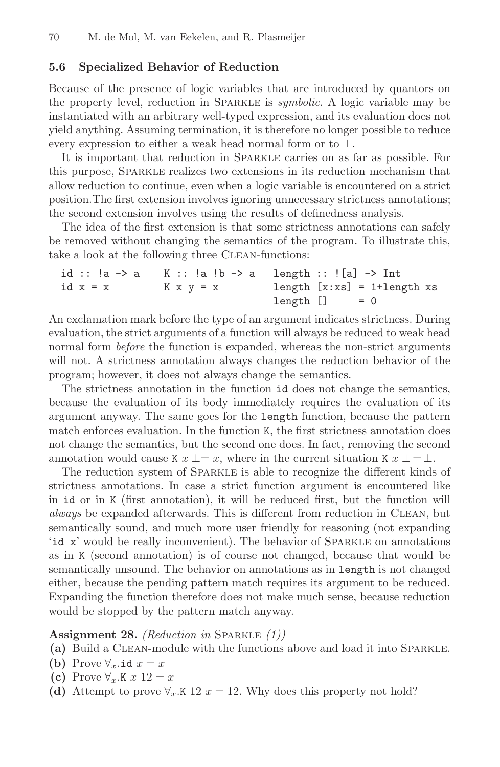### <span id="page-29-0"></span>**5.6 Specialized Behavior of Reduction**

Because of the presence of logic variables that are introduced by quantors on the property level, reduction in Sparkle is *symbolic*. A logic variable may be instantiated with an arbitrary well-typed expression, and its evaluation does not yield anything. Assuming termination, it is therefore no longer possible to reduce every expression to either a weak head normal form or to  $\perp$ .

It is important that reduction in Sparkle carries on as far as possible. For this purpose, Sparkle realizes two extensions in its reduction mechanism that allow reduction to continue, even when a logic variable is encountered on a strict position.The first extension involves ignoring unnecessary strictness annotations; the second extension involves using the results of definedness analysis.

The idea of the first extension is that some strictness annotations can safely be removed without changing the semantics of the program. To illustrate this, take a look at the following three CLEAN-functions:

id :: !a -> a K :: !a !b -> a length :: ![a] -> Int id  $x = x$  K  $x y = x$  length  $[x:xs] = 1+length xs$  $length$   $= 0$ 

An exclamation mark before the type of an argument indicates strictness. During evaluation, the strict arguments of a function will always be reduced to weak head normal form *before* the function is expanded, whereas the non-strict arguments will not. A strictness annotation always changes the reduction behavior of the program; however, it does not always change the semantics.

The strictness annotation in the function id does not change the semantics, because the evaluation of its body immediately requires the evaluation of its argument anyway. The same goes for the length function, because the pattern match enforces evaluation. In the function K, the first strictness annotation does not change the semantics, but the second one does. In fact, removing the second annotation would cause K  $x \perp = x$ , where in the current situation K  $x \perp = \perp$ .

The reduction system of Sparkle is able to recognize the different kinds of strictness annotations. In case a strict function argument is encountered like in id or in K (first annotation), it will be reduced first, but the function will *always* be expanded afterwards. This is different from reduction in Clean, but semantically sound, and much more user friendly for reasoning (not expanding 'id x' would be really inconvenient). The behavior of SPARKLE on annotations as in K (second annotation) is of course not changed, because that would be semantically unsound. The behavior on annotations as in length is not changed either, because the pending pattern match requires its argument to be reduced. Expanding the function therefore does not make much sense, because reduction would be stopped by the pattern match anyway.

#### <span id="page-29-1"></span>**Assignment 28.** *(Reduction in* Sparkle *(1))*

- **(a)** Build a Clean-module with the functions above and load it into Sparkle.
- **(b)** Prove  $\forall x \text{ id } x = x$
- (c) Prove  $\forall x \in \mathbb{R}$   $x \neq 12 = x$
- (d) Attempt to prove  $\forall x \in \mathbb{R} \times \mathbb{R} = 12$ . Why does this property not hold?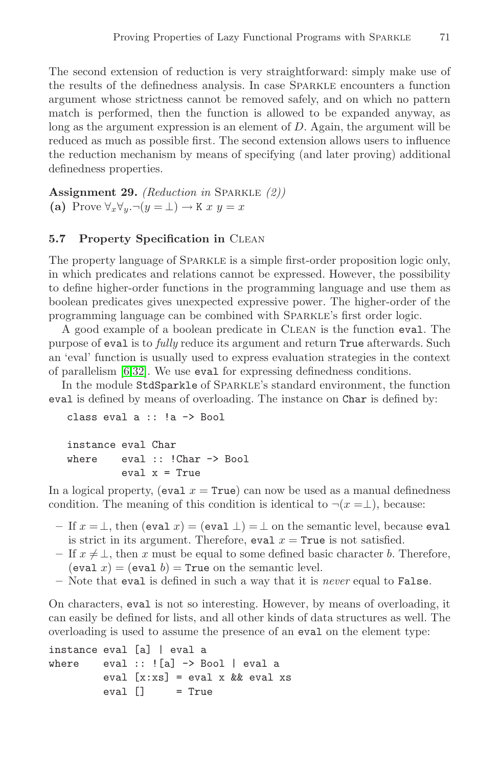<span id="page-30-0"></span>The second extension of reduction is very straightforward: simply make use of the results of the definedness analysis. In case Sparkle encounters a function argument whose strictness cannot be removed safely, and on which no pattern match is performed, then the function is allowed to be expanded anyway, as long as the argument expression is an element of D. Again, the argument will be reduced as much as possible first. The second extension allows users to influence the reduction mechanism by means of specifying (and later proving) additional definedness properties.

**Assignment 29.** *(Reduction in* Sparkle *(2))* (a) Prove  $\forall_x \forall_y \neg (y = \bot) \rightarrow K x y = x$ 

#### **5.7 Property Specification in CLEAN**

[T](#page-35-4)he property language of Sparkle is a simple first-order proposition logic only, in which predicates and relations cannot be expressed. However, the possibility to define higher-order functions in the programming language and use them as boolean predicates gives unexpected expressive power. The higher-order of the programming language can be combined with Sparkle's first order logic.

A good example of a boolean predicate in Clean is the function eval. The purpose of eval is to *fully* reduce its argument and return True afterwards. Such an 'eval' function is usually used to express evaluation strategies in the context of parallelism [6,32]. We use eval for expressing definedness conditions.

In the module StdSparkle of Sparkle's standard environment, the function eval is defined by means of overloading. The instance on Char is defined by:

```
class eval a :: !a -> Bool
```

```
instance eval Char
where eval :: !Char -> Bool
        eval x = True
```
In a logical property, (eval  $x = True$ ) can now be used as a manual definedness condition. The meaning of this condition is identical to  $\neg(x = \perp)$ , because:

- **–** If  $x = \perp$ , then (eval  $x$ ) = (eval  $\perp$ ) =  $\perp$  on the semantic level, because eval is strict in its argument. Therefore, eval  $x = True$  is not satisfied.
- $-$  If  $x \neq \perp$ , then x must be equal to some defined basic character b. Therefore, (eval  $x$ ) = (eval  $b$ ) = True on the semantic level.
- **–** Note that eval is defined in such a way that it is *never* equal to False.

On characters, eval is not so interesting. However, by means of overloading, it can easily be defined for lists, and all other kinds of data structures as well. The overloading is used to assume the presence of an eval on the element type:

```
instance eval [a] | eval a
where eval :: ![a] -> Bool | eval a
        eval [x:xs] = eval x & eval xs
        eval \lceil = True
```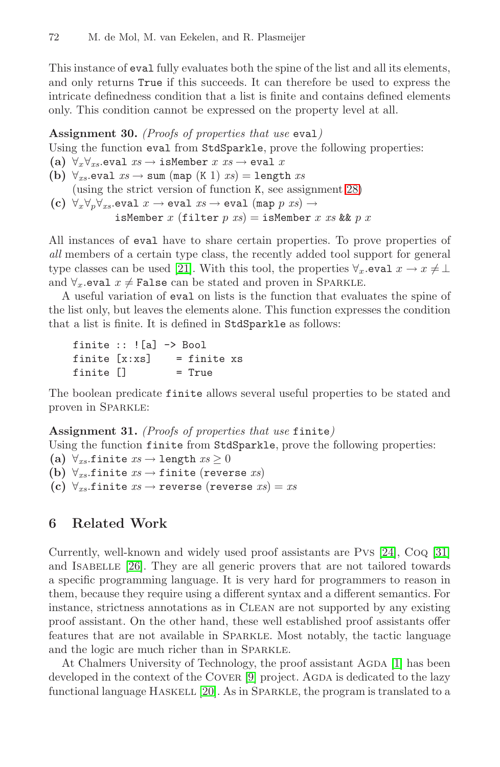#### 72 M. de Mol, M. van Eekelen, and R. Plasmeijer

This instance of eval fully evaluates both the spine of the list and all its elements, and only returns True if this succeeds. [It](#page-29-1) can therefore be used to express the intricate definedness condition that a list is finite and contains defined elements only. This condition cannot be expressed on the property level at all.

**Assignment 30.** *(Proofs of properties that use* eval*)* Using the function eval from StdSparkle, prove the following properties: (a)  $\forall x \forall x s.$ eval  $xs \rightarrow$  isMember  $x \; xs \rightarrow$  eval  $x$ **(b)**  $\forall x s.$ eval  $xs \rightarrow \text{sum (map (K 1) } xs) = \text{length } xs$ (using the strict version of function K, see assignment 28) (c)  $\forall x \forall p \forall xs.\text{eval } x \rightarrow \text{eval } xs \rightarrow \text{eval (map } p xs) \rightarrow$ 

isMember  $x$  (filter  $p$   $xs$ ) = isMember  $x$   $xs$  &&  $p$   $x$ 

All instances of eval have to share certain properties. To prove properties of *all* members of a certain type class, the recently added tool support for general type classes can be used [21]. With this tool, the properties  $\forall x$ .eval  $x \to x \neq \bot$ and  $\forall x$  eval  $x \neq$  False can be stated and proven in SPARKLE.

A useful variation of eval on lists is the function that evaluates the spine of the list only, but leaves the elements alone. This function expresses the condition that a list is finite. It is defined in StdSparkle as follows:

```
finite :: ![a] -> Bool
finite [x:xs] = finite xs
finite [] = True
```
<span id="page-31-0"></span>The boolean predicate finite allows several useful properties to be stated and proven in SPARKLE:

**Assignment 31.** *(Proofs of properties that use* finite*)* Using the function finite from StdSparkle, [prov](#page-34-3)e the f[ollo](#page-35-1)wing properties: (a)  $\forall_{xs}$ .finite  $xs \rightarrow$  length  $xs \geq 0$ 

**(b)**  $\forall$ <sub>xs</sub>.finite  $xs \rightarrow$  finite (reverse xs)

**(c)**  $\forall$ <sub>*xs*</sub>.finite *xs*  $\rightarrow$  reverse (reverse *xs*) = *xs* 

# **6 Related Work**

Currently, well-known and widely used proof ass[ist](#page-33-2)ants are Pvs [24], Coq [31] and ISABELLE [26]. [T](#page-33-3)hey are all generic provers that are not tailored towards a specific [prog](#page-34-8)ramming language. It is very hard for programmers to reason in them, because they require using a different syntax and a different semantics. For instance, strictness annotations as in Clean are not supported by any existing proof assistant. On the other hand, these well established proof assistants offer features that are not available in Sparkle. Most notably, the tactic language and the logic are much richer than in Sparkle.

At Chalmers University of Technology, the proof assistant Agda [1] has been developed in the context of the COVER [9] project. AGDA is dedicated to the lazy functional language HASKELL [20]. As in SPARKLE, the program is translated to a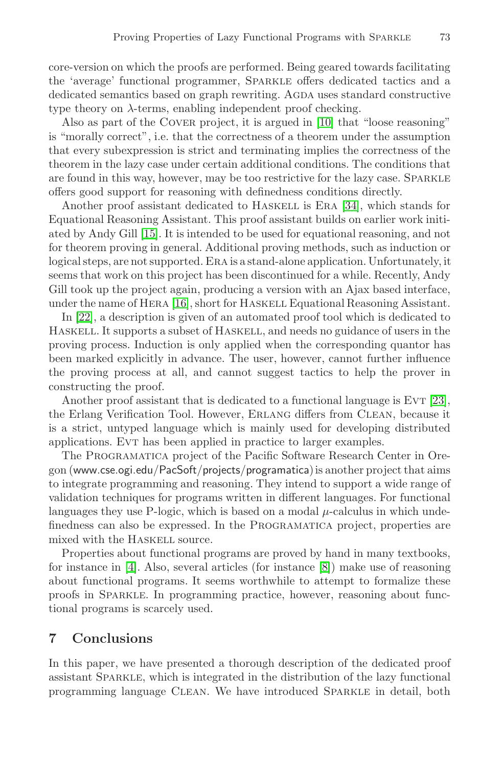core-version on which the proofs are performed. Being geared towards facilitating the 'average' functional programmer, Sparkle offers dedicated tactics and a dedicated semantics based on graph re[writi](#page-35-5)ng. Agda uses standard constructive type theory on  $\lambda$ -terms, enabling independent proof checking.

Also as part of the Cover project, it is argued in [10] that "loose reasoning" [is](#page-34-9) ["](#page-34-9)morally correct", i.e. that the correctness of a theorem under the assumption that every subexpression is strict and terminating implies the correctness of the theorem in the lazy case under certain additional conditions. The conditions that are found in this way, however, may be too restrictive for the lazy case. SPARKLE offers [go](#page-34-10)od support for reasoning with definedness conditions directly.

Another proof assistant dedicated to Haskell is Era [34], which stands for Equational Reasoning Assistant. This proof assistant builds on earlier work initiated by Andy Gill [15]. It is intended to be used for equational reasoning, and not for theorem proving in general. Additional proving methods, such as induction or logical steps, are not supported. Era is a stand-alone application. Unfortunately, it seems that work on this project has been discontinued for a while. Recently, Andy Gill took up the project again, producing a version with [an A](#page-34-11)jax based interface, under the name of Hera [16], short for Haskell Equational Reasoning Assistant.

In [22], a description is given of an automated proof tool which is dedicated to Haskell. It supports a subset of Haskell, and needs no guidance of users in the proving process. Induction is only applied when the corresponding quantor has been marked explicitly in advance. The user, however, cannot further influence the proving process at all, and cannot suggest tactics to help the prover in constructing the proof.

Another proof assistant that is dedicated to a functional language is EVT [23], the Erlang Verification Tool. However, Erlang differs from Clean, because it is a strict, untyped language which is mainly used for developing distributed applications. Evt has been applied in practice to larger examples.

The Programatica project of [th](#page-33-4)e Pacific Software Research Center in Oregon (www.cse.ogi.edu/PacSoft/projects/programatica)is another project that aims to integrate programming and reasoning. They intend to support a wide range of validation techniques for programs written in different languages. For functional languages they use P-logic, which is based on a modal  $\mu$ -calculus in which undefinedness can also be expressed. In the Programatica project, properties are mixed with the Haskell source.

<span id="page-32-0"></span>Properties about functional programs are proved by hand in many textbooks, for instance in [4]. Also, several articles (for instance [8]) make use of reasoning about functional programs. It seems worthwhile to attempt to formalize these proofs in Sparkle. In programming practice, however, reasoning about functional programs is scarcely used.

# **7 Conclusions**

In this paper, we have presented a thorough description of the dedicated proof assistant Sparkle, which is integrated in the distribution of the lazy functional programming language Clean. We have introduced Sparkle in detail, both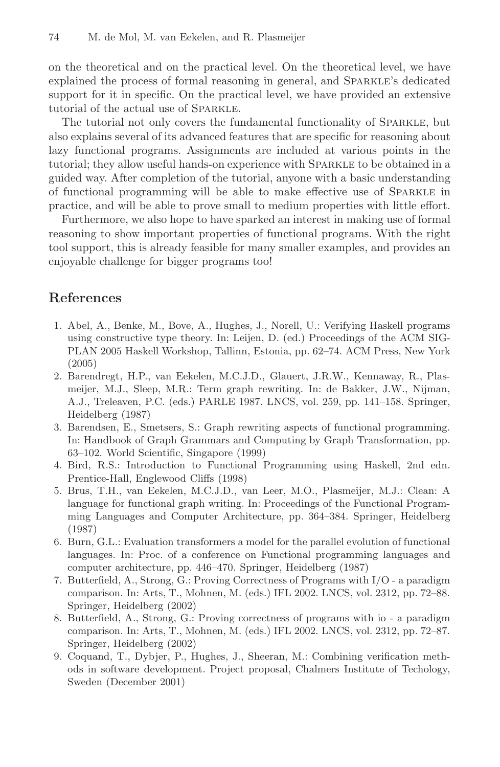on the theoretical and on the practical level. On the theoretical level, we have explained the process of formal reasoning in general, and Sparkle's dedicated support for it in specific. On the practical level, we have provided an extensive tutorial of the actual use of Sparkle.

The tutorial not only covers the fundamental functionality of Sparkle, but also explains several of its advanced features that are specific for reasoning about lazy functional programs. Assignments are included at various points in the tutorial; they allow useful hands-on experience with Sparkle to be obtained in a guided way. After completion of the tutorial, anyone with a basic understanding of functional programming will be able to make effective use of Sparkle in practice, and will be able to prove small to medium properties with little effort.

Furthermore, we also hope to have sparked an interest in making use of formal reasoning to show important properties of functional programs. With the right tool support, this is already feasible for many smaller examples, and provides an enjoyable challenge for bigger programs too!

# <span id="page-33-2"></span>**References**

- 1. Abel, A., Benke, M., Bove, A., Hughes, J., Norell, U.: Verifying Haskell programs using constructive type theory. In: Leijen, D. (ed.) Proceedings of the ACM SIG-PLAN 2005 Haskell Workshop, Tallinn, Estonia, pp. 62–74. ACM Press, New York (2005)
- 2. Barendregt, H.P., van Eekelen, M.C.J.D., Glauert, J.R.W., Kennaway, R., Plasmeijer, M.J., Sleep, M.R.: Term graph rewriting. In: de Bakker, J.W., Nijman, A.J., Treleaven, P.C. (eds.) PARLE 1987. LNCS, vol. 259, pp. 141–158. Springer, Heidelberg (1987)
- 3. Barendsen, E., Smetsers, S.: Graph rewriting aspects of functional programming. In: Handbook of Graph Grammars and Computing by Graph Transformation, pp. 63–102. World Scientific, Singapore (1999)
- <span id="page-33-1"></span>4. Bird, R.S.: Introduction to Functional Programming using Haskell, 2nd edn. Prentice-Hall, Englewood Cliffs (1998)
- 5. Brus, T.H., van Eekelen, M.C.J.D., van Leer, M.O., Plasmeijer, M.J.: Clean: A language for functional graph writing. In: Proceedings of the Functional Programming Languages and Computer Architecture, pp. 364–384. Springer, Heidelberg (1987)
- 6. Burn, G.L.: Evaluation transformers a model for the parallel evolution of functional languages. In: Proc. of a conference on Functional programming languages and computer architecture, pp. 446–470. Springer, Heidelberg (1987)
- <span id="page-33-0"></span>7. Butterfield, A., Strong, G.: Proving Correctness of Programs with I/O - a paradigm comparison. In: Arts, T., Mohnen, M. (eds.) IFL 2002. LNCS, vol. 2312, pp. 72–88. Springer, Heidelberg (2002)
- <span id="page-33-4"></span>8. Butterfield, A., Strong, G.: Proving correctness of programs with io - a paradigm comparison. In: Arts, T., Mohnen, M. (eds.) IFL 2002. LNCS, vol. 2312, pp. 72–87. Springer, Heidelberg (2002)
- <span id="page-33-3"></span>9. Coquand, T., Dybjer, P., Hughes, J., Sheeran, M.: Combining verification methods in software development. Project proposal, Chalmers Institute of Techology, Sweden (December 2001)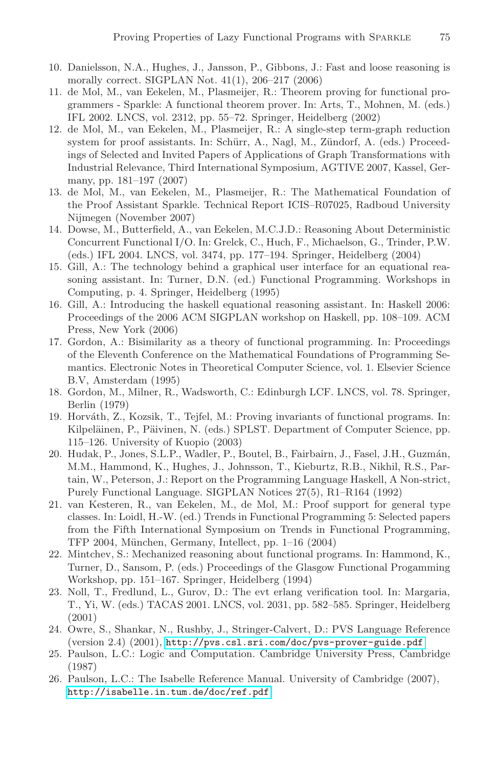- <span id="page-34-5"></span><span id="page-34-2"></span><span id="page-34-0"></span>10. Danielsson, N.A., Hughes, J., Jansson, P., Gibbons, J.: Fast and loose reasoning is morally correct. SIGPLAN Not. 41(1), 206–217 (2006)
- 11. de Mol, M., van Eekelen, M., Plasmeijer, R.: Theorem proving for functional programmers - Sparkle: A functional theorem prover. In: Arts, T., Mohnen, M. (eds.) IFL 2002. LNCS, vol. 2312, pp. 55–72. Springer, Heidelberg (2002)
- <span id="page-34-9"></span><span id="page-34-1"></span>12. de Mol, M., van Eekelen, M., Plasmeijer, R.: A single-step term-graph reduction system for proof assistants. In: Schürr, A., Nagl, M., Zündorf, A. (eds.) Proceedings of Selected and Invited Papers of Applications of Graph Transformations with Industrial Relevance, Third International Symposium, AGTIVE 2007, Kassel, Germany, pp. 181–197 (2007)
- <span id="page-34-10"></span>13. de Mol, M., van Eekelen, M., Plasmeijer, R.: The Mathematical Foundation of the Proof Assistant Sparkle. Technical Report ICIS–R07025, Radboud University Nijmegen (November 2007)
- 14. Dowse, M., Butterfield, A., van Eekelen, M.C.J.D.: Reasoning About Deterministic Concurrent Functional I/O. In: Grelck, C., Huch, F., Michaelson, G., Trinder, P.W. (eds.) IFL 2004. LNCS, vol. 3474, pp. 177–194. Springer, Heidelberg (2004)
- 15. Gill, A.: The technology behind a graphical user interface for an equational reasoning assistant. In: Turner, D.N. (ed.) Functional Programming. Workshops in Computing, p. 4. Springer, Heidelberg (1995)
- 16. Gill, A.: Introducing the haskell equational reasoning assistant. In: Haskell 2006: Proceedings of the 2006 ACM SIGPLAN workshop on Haskell, pp. 108–109. ACM Press, New York (2006)
- <span id="page-34-8"></span>17. Gordon, A.: Bisimilarity as a theory of functional programming. In: Proceedings of the Eleventh Conference on the Mathematical Foundations of Programming Semantics. Electronic Notes in Theoretical Computer Science, vol. 1. Elsevier Science B.V, Amsterdam (1995)
- <span id="page-34-7"></span>18. Gordon, M., Milner, R., Wadsworth, C.: Edinburgh LCF. LNCS, vol. 78. Springer, Berlin (1979)
- 19. Horváth, Z., Kozsik, T., Tejfel, M.: Proving invariants of functional programs. In: Kilpeläinen, P., Päivinen, N. (eds.) SPLST. Department of Computer Science, pp. 115–126. University of Kuopio (2003)
- <span id="page-34-11"></span>20. Hudak, P., Jones, S.L.P., Wadler, P., Boutel, B., Fairbairn, J., Fasel, J.H., Guzm´an, M.M., Hammond, K., Hughes, J., Johnsson, T., Kieburtz, R.B., Nikhil, R.S., Partain, W., Peterson, J.: Report on the Programming Language Haskell, A Non-strict, Purely Functional Language. SIGPLAN Notices 27(5), R1–R164 (1992)
- <span id="page-34-3"></span>21. van Kesteren, R., van Eekelen, M., de Mol, M.: Proof support for general type classes. In: Loidl, H.-W. (ed.) Trends in Functional Programming 5: Selected papers [from the Fifth International Symposium on Trends in](http://pvs.csl.sri.com/doc/pvs-prover-guide.pdf) Functional Programming, TFP 2004, München, Germany, Intellect, pp.  $1-16$  (2004)
- <span id="page-34-6"></span><span id="page-34-4"></span>22. Mintchev, S.: Mechanized reasoning about functional programs. In: Hammond, K., Turner, D., Sansom, P. (eds.) Proceedings of the Glasgow Functional Progamming [Workshop, pp. 151–167](http://isabelle.in.tum.de/doc/ref.pdf). Springer, Heidelberg (1994)
- 23. Noll, T., Fredlund, L., Gurov, D.: The evt erlang verification tool. In: Margaria, T., Yi, W. (eds.) TACAS 2001. LNCS, vol. 2031, pp. 582–585. Springer, Heidelberg (2001)
- 24. Owre, S., Shankar, N., Rushby, J., Stringer-Calvert, D.: PVS Language Reference (version 2.4) (2001), http://pvs.csl.sri.com/doc/pvs-prover-guide.pdf
- 25. Paulson, L.C.: Logic and Computation. Cambridge University Press, Cambridge (1987)
- 26. Paulson, L.C.: The Isabelle Reference Manual. University of Cambridge (2007), http://isabelle.in.tum.de/doc/ref.pdf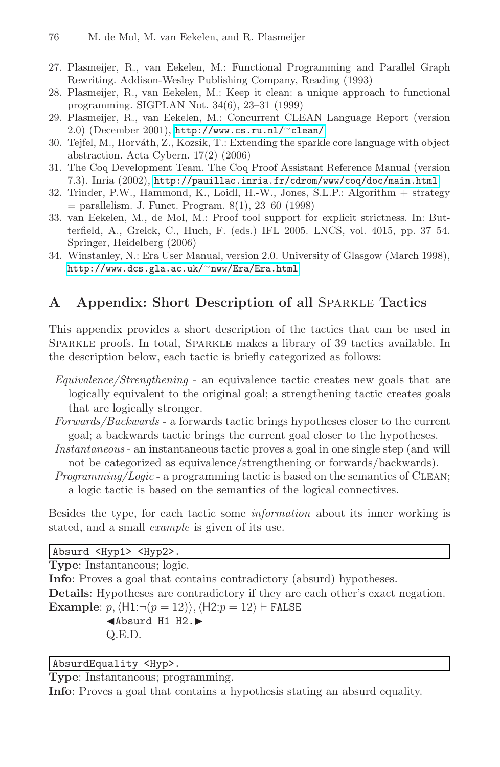#### <span id="page-35-2"></span>76 M. de Mol, M. van Eekelen, and R. Plasmeijer

- <span id="page-35-4"></span><span id="page-35-1"></span>27. Plasmeijer, R., van Eekelen, M.: Functional Programming and Parallel Graph [Rewriting.](http://pauillac.inria.fr/cdrom/www/coq/doc/main.html) [Addison-Wesley](http://pauillac.inria.fr/cdrom/www/coq/doc/main.html) [Publishing](http://pauillac.inria.fr/cdrom/www/coq/doc/main.html) [Company,](http://pauillac.inria.fr/cdrom/www/coq/doc/main.html) [Reading](http://pauillac.inria.fr/cdrom/www/coq/doc/main.html) [\(](http://pauillac.inria.fr/cdrom/www/coq/doc/main.html)1993)
- <span id="page-35-3"></span>28. Plasmeijer, R., van Eekelen, M.: Keep it clean: a unique approach to functional programming. SIGPLAN Not. 34(6), 23–31 (1999)
- 29. Plasmeijer, R., van Eekelen, M.: Concurrent CLEAN Language Report (version 2.0) (December 2001), http://www.cs.ru.nl/∼clean/
- <span id="page-35-5"></span>30. Tejfel, M., Horváth, Z., Kozsik, T.: Extending the sparkle core language with object abstraction. Acta Cybern. 17(2) (2006)
- [31.](http://www.dcs.gla.ac.uk/~nww/Era/Era.html) [The](http://www.dcs.gla.ac.uk/~nww/Era/Era.html) [Coq](http://www.dcs.gla.ac.uk/~nww/Era/Era.html) [Development](http://www.dcs.gla.ac.uk/~nww/Era/Era.html) [Team.](http://www.dcs.gla.ac.uk/~nww/Era/Era.html) The Coq Proof Assistant Reference Manual (version 7.3). Inria (2002), http://pauillac.inria.fr/cdrom/www/coq/doc/main.html
- <span id="page-35-0"></span>32. Trinder, P.W., Hammond, K., Loidl, H.-W., Jones, S.L.P.: Algorithm + strategy  $=$  parallelism. J. Funct. Program.  $8(1)$ ,  $23-60$  (1998)
- 33. van Eekelen, M., de Mol, M.: Proof tool support for explicit strictness. In: Butterfield, A., Grelck, C., Huch, F. (eds.) IFL 2005. LNCS, vol. 4015, pp. 37–54. Springer, Heidelberg (2006)
- 34. Winstanley, N.: Era User Manual, version 2.0. University of Glasgow (March 1998), http://www.dcs.gla.ac.uk/∼nww/Era/Era.html

# **A Appendix: Short Description of all** Sparkle **Tactics**

This appendix provides a short description of the tactics that can be used in Sparkle proofs. In total, Sparkle makes a library of 39 tactics available. In the description below, each tactic is briefly categorized as follows:

- *Equivalence/Strengthening* an equivalence tactic creates new goals that are logically equivalent to the original goal; a strengthening tactic creates goals that are logically stronger.
- *Forwards/Backwards* a forwards tactic brings hypotheses closer to the current goal; a backwards tactic brings the current goal closer to the hypotheses.
- *Instantaneous* an instantaneous tactic proves a goal in one single step (and will not be categorized as equivalence/strengthening or forwards/backwards).
- *Programming/Logic* a programming tactic is based on the semantics of CLEAN; a logic tactic is based on the semantics of the logical connectives.

Besides the type, for each tactic some *information* about its inner working is stated, and a small *example* is given of its use.

# Absurd <Hyp1> <Hyp2>.

**Type**: Instantaneous; logic. **Info**: Proves a goal that contains contradictory (absurd) hypotheses. **Details**: Hypotheses are contradictory if they are each other's exact negation. **Example:**  $p$ ,  $\langle H1:\neg(p=12)\rangle$ ,  $\langle H2:p=12\rangle \vdash$  **FALSE** Absurd H1 H2. Q.E.D.

AbsurdEquality <Hyp>.

**Type**: Instantaneous; programming.

**Info**: Proves a goal that contains a hypothesis stating an absurd equality.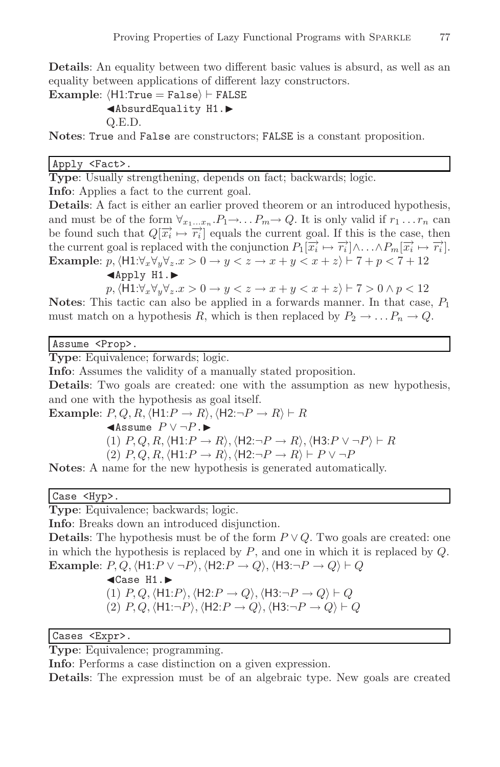**Details**: An equality between two different basic values is absurd, as well as an equality between applications of different lazy constructors.

```
\textbf{Example: } \langle \textsf{H1:True} = \texttt{False} \rangle \vdash \texttt{FALSE}AbsurdEquality H1.
                  Q.E.D.
```
**Notes**: True and False are constructors; FALSE is a constant proposition.

Apply <Fact>.

**Type**: Usually strengthening, depends on fact; backwards; logic.

**Info**: Applies a fact to the current goal.

**Details**: A fact is either an earlier proved theorem or an introduced hypothesis, and must be of the form  $\forall_{x_1...x_n} P_1 \rightarrow \dots P_m \rightarrow Q$ . It is only valid if  $r_1 \dots r_n$  can be found such that  $Q[\vec{x_i} \mapsto \vec{r_i}]$  equals the current goal. If this is the case, then<br>the current goal is replaced with the conjunction  $P_2[\vec{x_i} \mapsto \vec{x_i}] \wedge \wedge P_2[\vec{x_i} \mapsto \vec{x_i}]$ the current goal is replaced with the conjunction  $P_1[\overrightarrow{x_i} \mapsto \overrightarrow{r_i}] \wedge ... \wedge P_m[\overrightarrow{x_i} \mapsto \overrightarrow{r_i}]$ .<br> **Example:**  $n \langle H_1 \vee \overrightarrow{r} \rangle \vee \overrightarrow{x} \rangle \wedge \overrightarrow{x} \rightarrow x + \overrightarrow{y} \langle x + \overrightarrow{x} \rangle \vdash 7 + \overrightarrow{n} \langle 7 + 12 \rangle$ **Example:**  $p, \langle H_1: \forall_x \forall_y \forall_z . x > 0 \rightarrow y < z \rightarrow x + y < x + z \rangle \vdash 7 + p < 7 + 12$ 

### Apply H1.

 $p, \langle H1: \forall_x \forall_y \forall_z . x > 0 \rightarrow y < z \rightarrow x + y < x + z \rangle \vdash 7 > 0 \land p < 12$ <br>is tactic can also be applied in a forwards manner. In that case **Notes**: This tactic can also be applied in a forwards manner. In that case, <sup>P</sup><sup>1</sup> must match on a hypothesis R, which is then replaced by  $P_2 \to \dots P_n \to Q$ .

Assume <Prop>.

**Type**: Equivalence; forwards; logic.

**Info**: Assumes the validity of a manually stated proposition.

**Details**: Two goals are created: one with the assumption as new hypothesis, and one with the hypothesis as goal itself.

**Example:**  $P, Q, R, \langle H1: P \to R \rangle, \langle H2: \neg P \to R \rangle \vdash R$  $\blacktriangle$ Assume  $P \lor \neg P$ . (1)  $P, Q, R, \langle H1: P \to R \rangle, \langle H2: \neg P \to R \rangle, \langle H3: P \lor \neg P \rangle \vdash R$ <br>
(2)  $P, O, R, \langle H1: P \to R \rangle, \langle H2: \neg P \to R \rangle \vdash P \lor \neg P$ (2)  $P, Q, R, \langle H1: P \to R \rangle, \langle H2: \neg P \to R \rangle \vdash P \vee \neg P$ <br>name for the new hypothesis is generated automa

**Notes**: A name for the new hypothesis is generated automatically.

Case <Hyp>.

**Type**: Equivalence; backwards; logic.

**Info**: Breaks down an introduced disjunction.

**Details**: The hypothesis must be of the form  $P \vee Q$ . Two goals are created: one in which the hypothesis is replaced by  $P$ , and one in which it is replaced by  $Q$ . **Example**:  $P, Q, \langle H1: P \vee \neg P \rangle, \langle H2: P \rightarrow Q \rangle, \langle H3: \neg P \rightarrow Q \rangle \vdash Q$ 

 $\triangleleft$ Case H1. $\blacktriangleright$ 

- (1)  $P, Q, \langle H1:P \rangle, \langle H2:P \rightarrow Q \rangle, \langle H3:\neg P \rightarrow Q \rangle \vdash Q$
- (2)  $P, Q, \langle H1:\neg P \rangle, \langle H2:P \rightarrow Q \rangle, \langle H3:\neg P \rightarrow Q \rangle \vdash Q$

Cases <Expr>.

**Type**: Equivalence; programming.

**Info**: Performs a case distinction on a given expression.

**Details**: The expression must be of an algebraic type. New goals are created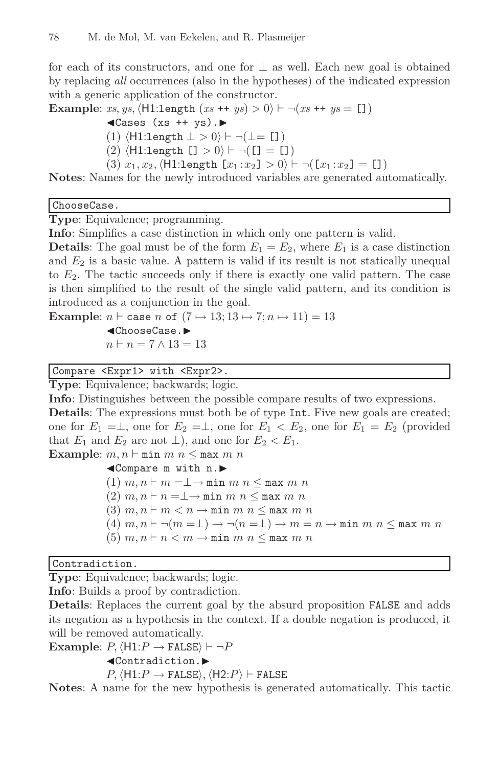for each of its constructors, and one for  $\perp$  as well. Each new goal is obtained by replacing *all* occurrences (also in the hypotheses) of the indicated expression with a generic application of the constructor.

**Example:** *xs*, *ys*,  $\langle H1: \text{length } (xs++ys) > 0 \rangle \vdash \neg (xs++ys = [1])$  $\triangleleft$ Cases (xs ++ ys). (1)  $\langle H1:\text{length } \bot > 0 \rangle \vdash \neg(\bot = [1])$ <br>(2)  $\langle H1:\text{length } [1] > 0 \rangle \vdash \neg([1] = [1])$ (2)  $\langle H1:length \ [1 > 0 \rangle \vdash \neg([1 = 1])$ <br>(3)  $x_1, x_2$   $\langle H1:length \ [x_1 : x_2] \rangle \neg([1 = 0])$ (3)  $x_1, x_2, \langle H1:length[x_1:x_2] > 0 \rangle \vdash \neg([x_1:x_2] = [1])$ <br>mes for the newly introduced variables are generated au

**Notes**: Names for the newly introduced variables are generated automatically.

ChooseCase.

**Type**: Equivalence; programming.

**Info**: Simplifies a case distinction in which only one pattern is valid.

**Details**: The goal must be of the form  $E_1 = E_2$ , where  $E_1$  is a case distinction and  $E_2$  is a basic value. A pattern is valid if its result is not statically unequal to  $E_2$ . The tactic succeeds only if there is exactly one valid pattern. The case is then simplified to the result of the single valid pattern, and its condition is introduced as a conjunction in the goal.

**Example:**  $n \vdash \text{case } n \text{ of } (7 \mapsto 13; 13 \mapsto 7; n \mapsto 11) = 13$  $\blacktriangleleft$ ChooseCase. $\blacktriangleright$  $n \vdash n = 7 \land 13 = 13$ 

Compare <Expr1> with <Expr2>.

**Type**: Equivalence; backwards; logic.

**Info**: Distinguishes between the possible compare results of two expressions.

**Details**: The expressions must both be of type Int. Five new goals are created; one for  $E_1 = \perp$ , one for  $E_2 = \perp$ , one for  $E_1 < E_2$ , one for  $E_1 = E_2$  (provided that  $E_1$  and  $E_2$  are not  $\perp$ ), and one for  $E_2 < E_1$ .

**Example:**  $m, n \vdash \min m$   $n \leq \max m$   $n$ Compare m with n. (1)  $m, n \vdash m = \perp \rightarrow \min m \; n \leq \max m \; n$ <br>(2)  $m, n \vdash n = \perp \rightarrow \min m \; n \leq \max m \; n$  $(2)$  m,  $n \vdash n = \perp \rightarrow \min m$  m  $\leq \max m$  m<br> $(3)$  m  $n \vdash m \leq n \rightarrow \min m$  m  $\leq \max m$ (3)  $m, n \vdash m < n \rightarrow \min m$   $n \leq \max m$   $n$ <br>(4)  $m, n \vdash \neg(m-1) \rightarrow \neg(n-1) \rightarrow m$  $(4)$   $m, n \vdash \neg(m = \bot) \rightarrow \neg(n = \bot) \rightarrow m = n \rightarrow \text{min } m \ n \leq \text{max } m \ n$ <br> $(5)$   $m, n \vdash n \leq m \rightarrow \text{min } m \ n \leq \text{max } m \ n$ (5)  $m, n \vdash n < m \rightarrow \min m n \leq \max m n$ 

#### Contradiction.

**Type**: Equivalence; backwards; logic.

**Info**: Builds a proof by contradiction.

**Details**: Replaces the current goal by the absurd proposition FALSE and adds its negation as a hypothesis in the context. If a double negation is produced, it will be removed automatically.

**Example:**  $P$ ,  $\langle H1: P \rightarrow \text{FALSE} \rangle \vdash \neg P$ 

Contradiction.

 $P, \langle H1: P \rightarrow \text{FALSE} \rangle, \langle H2: P \rangle \vdash \text{FALSE}$ <br>rame for the new hypothesis is gene

**Notes**: A name for the new hypothesis is generated automatically. This tactic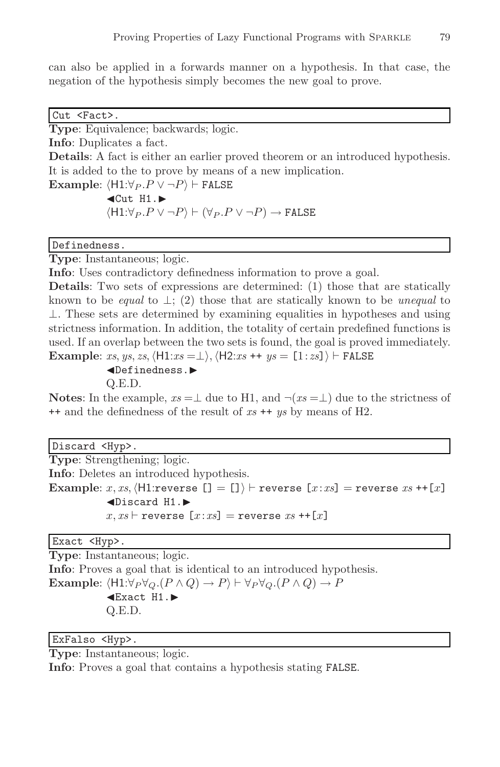can also be applied in a forwards manner on a hypothesis. In that case, the negation of the hypothesis simply becomes the new goal to prove.

Cut <Fact>.

**Type**: Equivalence; backwards; logic.

**Info**: Duplicates a fact.

**Details**: A fact is either an earlier proved theorem or an introduced hypothesis. It is added to the to prove by means of a new implication.

**Example:**  $\langle H1:\forall P.P \vee \neg P \rangle \vdash$  FALSE

 $\blacktriangleleft$ Cut H1. $\blacktriangleright$  $\langle H1:\forall P.P \vee \neg P \rangle \vdash (\forall P.P \vee \neg P) \rightarrow \text{FALSE}$ 

Definedness.

**Type**: Instantaneous; logic.

**Info**: Uses contradictory definedness information to prove a goal.

**Details**: Two sets of expressions are determined: (1) those that are statically known to be *equal* to ⊥; (2) those that are statically known to be *unequal* to  $\perp$ . These sets are determined by examining equalities in hypotheses and using strictness information. In addition, the totality of certain predefined functions is used. If an overlap between the two sets is found, the goal is proved immediately. **Example**: *xs*, *ys*, *zs*,  $\langle H1:xs = \bot \rangle$ ,  $\langle H2:xs + ys = [1:zs] \rangle \vdash$  FALSE

Definedness.

Q.E.D.

**Notes:** In the example,  $xs = \perp$  due to H1, and  $\neg (xs = \perp)$  due to the strictness of ++ and the definedness of the result of *xs* ++ *ys* by means of H2.

| Discard <hyp>.</hyp>                                                                                 |
|------------------------------------------------------------------------------------------------------|
| <b>Type:</b> Strengthening: logic.                                                                   |
| <b>Info:</b> Deletes an introduced hypothesis.                                                       |
| Example: x, xs, $\langle H1:$ reverse $\Box = \Box$ $\rangle$ + reverse $[x:xs]$ = reverse xs ++ [x] |
| $\blacktriangleleft$ Discard H1. $\blacktriangleright$                                               |
| $x, xs \vdash$ reverse $[x : xs] =$ reverse $xs + f[x]$                                              |
|                                                                                                      |

Exact <Hyp>.

**Type**: Instantaneous; logic.

**Info**: Proves a goal that is identical to an introduced hypothesis. **Example:**  $\langle H1:\forall_P \forall_Q . (P \land Q) \rightarrow P \rangle \vdash \forall_P \forall_Q . (P \land Q) \rightarrow P$  $\blacktriangle$ Exact H1. $\blacktriangleright$ 

Q.E.D.

ExFalso <Hyp>.

**Type**: Instantaneous; logic.

**Info**: Proves a goal that contains a hypothesis stating FALSE.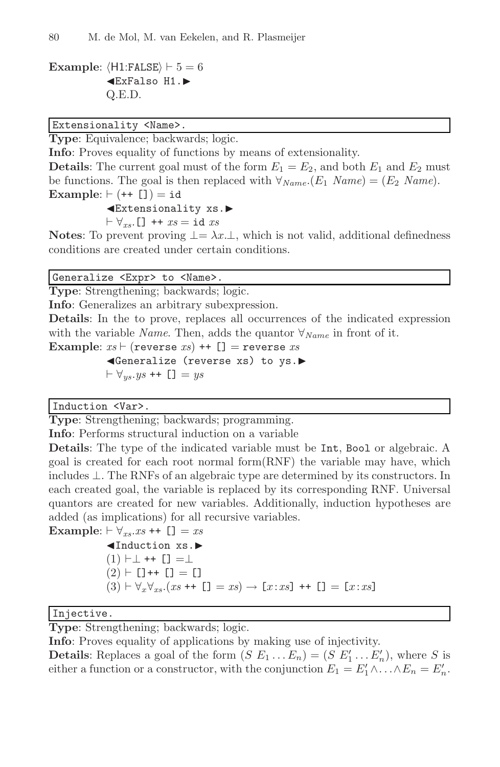```
\textbf{Example: } \langle \textsf{H1:FALSE} \rangle \vdash 5 = 6ExFalso H1.
                 Q.E.D.
```
Extensionality <Name>.

**Type**: Equivalence; backwards; logic.

**Info**: Proves equality of functions by means of extensionality.

**Details**: The current goal must of the form  $E_1 = E_2$ , and both  $E_1$  and  $E_2$  must be functions. The goal is then replaced with  $\forall_{Name}(E_1 \text{ Name}) = (E_2 \text{ Name})$ .  $\textbf{Example:} \vdash (+ \textbf{ 1}) = \text{id}$ 

```
Extensionality xs.
```
 $\vdash \forall_{xs}$ . [] + + *xs* = id *xs*<br>prevent proving  $\vert = \lambda$ 

**Notes**: To prevent proving  $\bot = \lambda x \bot$ , which is not valid, additional definedness conditions are created under certain conditions.

#### Generalize <Expr> to <Name>.

**Type**: Strengthening; backwards; logic.

**Info**: Generalizes an arbitrary subexpression.

**Details**: In the to prove, replaces all occurrences of the indicated expression with the variable *Name*. Then, adds the quantor  $\forall_{Name}$  in front of it.

 $\textbf{Example: } \mathit{xs} \vdash (\texttt{reverse } \mathit{xs}) \dashv\texttt{+} [\, \, ] = \texttt{reverse } \mathit{xs}$ Generalize (reverse xs) to ys.

 $\vdash \forall_{ys}.ys$  ++  $[] = ys$ 

Induction <Var>.

**Type**: Strengthening; backwards; programming.

**Info**: Performs structural induction on a variable

**Details**: The type of the indicated variable must be Int, Bool or algebraic. A goal is created for each root normal form $(RNF)$  the variable may have, which includes ⊥. The RNFs of an algebraic type are determined by its constructors. In each created goal, the variable is replaced by its corresponding RNF. Universal quantors are created for new variables. Additionally, induction hypotheses are added (as implications) for all recursive variables.

**Example:**  $\vdash \forall_{xs}.xs$  ++ [] = *xs* 

Induction xs.  $(1)$   $\vdash \perp$  ++  $[$ ]  $=$  $\perp$  $(2) \vdash \Box + \Box = \Box$  $(3) \vdash \forall_x \forall_{xs}. (xs \dashv \vdash [] = xs) \rightarrow [x:xs] \dashv \vdash [] = [x:xs]$ 

#### Injective.

**Type**: Strengthening; backwards; logic.

**Info**: Proves equality of applications by making use of injectivity.

**Details**: Replaces a goal of the form  $(S E_1 ... E_n) = (S E'_1 ... E'_n)$ , where S is either a function or a constructor, with the conjunction  $E_i = E'_i \wedge \wedge E_i = E'_i$ either a function or a constructor, with the conjunction  $E_1 = E'_1 \wedge \ldots \wedge E_n = E'_n$ .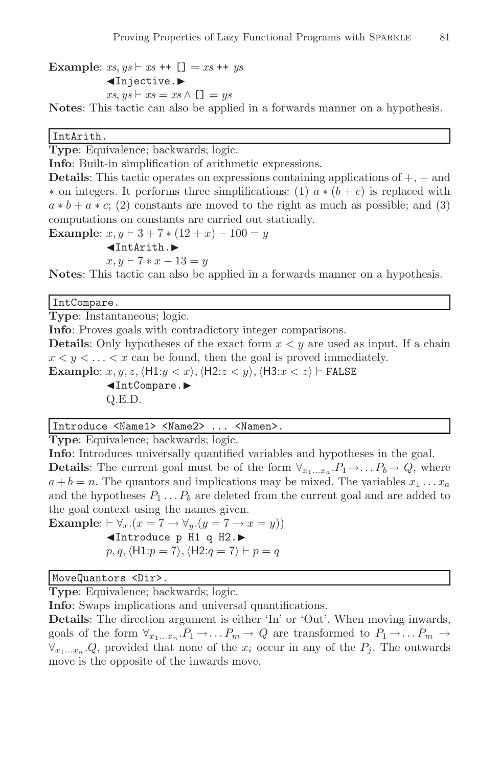# **Example:**  $xs$ ,  $ys \vdash xs$  ++  $[] = xs + ys$

Injective.

 $xs, ys \vdash xs = xs \land [] = ys$ **Notes**: This tactic can also be applied in a forwards manner on a hypothesis.

#### IntArith.

**Type**: Equivalence; backwards; logic.

**Info**: Built-in simplification of arithmetic expressions.

**Details**: This tactic operates on expressions containing applications of +, − and  $*$  on integers. It performs three simplifications: (1)  $a * (b + c)$  is replaced with  $a * b + a * c$ ; (2) constants are moved to the right as much as possible; and (3) computations on constants are carried out statically.

**Example:**  $x, y \vdash 3 + 7 * (12 + x) - 100 = y$ 

### $\blacktriangleleft$ IntArith. $\blacktriangleright$

 $x, y \vdash 7 * x - 13 = y$ <br>is tactic can also be

**Notes**: This tactic can also be applied in a forwards manner on a hypothesis.

### IntCompare.

**Type**: Instantaneous; logic.

**Info**: Proves goals with contradictory integer comparisons.

**Details**: Only hypotheses of the exact form  $x < y$  are used as input. If a chain  $x < y < \ldots < x$  can be found, then the goal is proved immediately.

**Example**:  $x, y, z, \langle H1: y \langle x \rangle, \langle H2: z \langle y \rangle, \langle H3: x \langle z \rangle \vdash$  FALSE

 $\blacktriangleleft$ IntCompare. $\blacktriangleright$ Q.E.D.

Introduce <Name1> <Name2> ... <Namen>.

**Type**: Equivalence; backwards; logic.

**Info**: Introduces universally quantified variables and hypotheses in the goal. **Details**: The current goal must be of the form  $\forall_{x_1...x_a} P_1 \rightarrow \dots P_b \rightarrow Q$ , where  $a + b = n$ . The quantors and implications may be mixed. The variables  $x_1 \ldots x_a$ and the hypotheses  $P_1 \ldots P_b$  are deleted from the current goal and are added to the goal context using the names given.

**Example:**  $\vdash \forall x . (x = 7 \rightarrow \forall y . (y = 7 \rightarrow x = y))$ Introduce p H1 q H2.  $p, q, \langle \mathsf{H1}: p = 7 \rangle, \langle \mathsf{H2}: q = 7 \rangle \vdash p = q$ 

MoveQuantors <Dir>.

**Type**: Equivalence; backwards; logic.

**Info**: Swaps implications and universal quantifications.

**Details**: The direction argument is either 'In' or 'Out'. When moving inwards, goals of the form  $\forall_{x_1...x_n} P_1 \rightarrow ... P_m \rightarrow Q$  are transformed to  $P_1 \rightarrow ... P_m \rightarrow Q$  $\forall_{x_1...x_n} Q$ , provided that none of the  $x_i$  occur in any of the  $P_i$ . The outwards move is the opposite of the inwards move.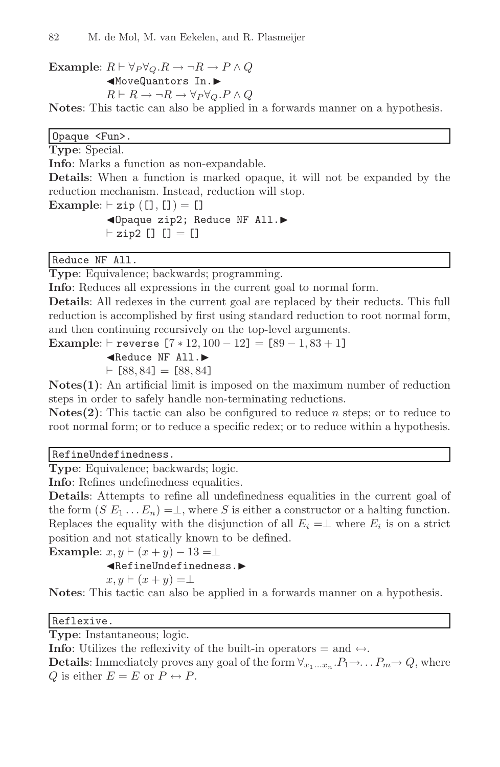# **Example:**  $R \vdash \forall P \forall Q \cdot R \rightarrow \neg R \rightarrow P \land Q$ MoveQuantors In.

 $R \vdash R \to \neg R \to \forall_P \forall_Q . P \land Q$ <br>is tactic can also be applied if **Notes**: This tactic can also be applied in a forwards manner on a hypothesis.

# Opaque <Fun>.

**Type**: Special.

**Info**: Marks a function as non-expandable.

**Details**: When a function is marked opaque, it will not be expanded by the reduction mechanism. Instead, reduction will stop.

**Example:**  $\vdash$  zip  $([], []) = []$ Opaque zip2; Reduce NF All.  $\vdash$  zip2 [] [] = []

Reduce NF All.

**Type**: Equivalence; backwards; programming.

**Info**: Reduces all expressions in the current goal to normal form.

**Details**: All redexes in the current goal are replaced by their reducts. This full reduction is accomplished by first using standard reduction to root normal form, and then continuing recursively on the top-level arguments.

**Example**:  $\vdash$  reverse  $[7 * 12, 100 - 12] = [89 - 1, 83 + 1]$ 

Reduce NF All.

 $\vdash$  [88, 84] = [88, 84]<br>An artificial limit is i

**Notes(1)**: An artificial limit is imposed on the maximum number of reduction steps in order to safely handle non-terminating reductions.

**Notes(2)**: This tactic can also be configured to reduce n steps; or to reduce to root normal form; or to reduce a specific redex; or to reduce within a hypothesis.

RefineUndefinedness.

**Type**: Equivalence; backwards; logic.

**Info**: Refines undefinedness equalities.

**Details**: Attempts to refine all undefinedness equalities in the current goal of the form  $(S E_1 \dots E_n) = \perp$ , where S is either a constructor or a halting function. Replaces the equality with the disjunction of all  $E_i = \perp$  where  $E_i$  is on a strict position and not statically known to be defined.

**Example:**  $x, y \vdash (x + y) - 13 = \perp$ 

### $\blacktriangleleft$ RefineUndefinedness. $\blacktriangleright$

 $x, y \vdash (x + y) = \perp$ 

**Notes**: This tactic can also be applied in a forwards manner on a hypothesis.

Reflexive.

**Type**: Instantaneous; logic.

**Info**: Utilizes the reflexivity of the built-in operators  $=$  and  $\leftrightarrow$ .

**Details**: Immediately proves any goal of the form  $\forall x_1...x_n.P_1\rightarrow\ldots P_m\rightarrow Q$ , where Q is either  $E = E$  or  $P \leftrightarrow P$ .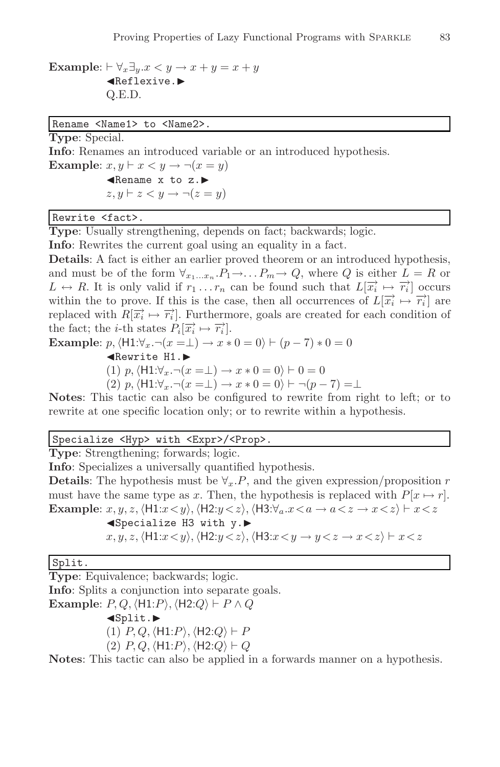**Example:**  $\vdash \forall x \exists y . x < y \rightarrow x + y = x + y$  $\blacktriangleleft$ Reflexive. $\blacktriangleright$ Q.E.D.

Rename <Name1> to <Name2>.

**Type**: Special.

**Info**: Renames an introduced variable or an introduced hypothesis. **Example:**  $x, y \vdash x < y \rightarrow \neg(x = y)$ 

 $\blacktriangleleft$ Rename x to z. $\blacktriangleright$  $z, y \vdash z < y \rightarrow \neg(z = y)$ 

Rewrite <fact>.

**Type**: Usually strengthening, depends on fact; backwards; logic.

**Info**: Rewrites the current goal using an equality in a fact.

**Details**: A fact is either an earlier proved theorem or an introduced hypothesis, and must be of the form  $\forall_{x_1...x_n} P_1 \rightarrow \dots P_m \rightarrow Q$ , where Q is either  $L = R$  or  $L \leftrightarrow R$ . It is only valid if  $r_1 \dots r_n$  can be found such that  $L[\vec{x_i} \mapsto \vec{r_i}]$  occurs<br>within the to prove If this is the case, then all occurrences of  $L[\vec{x_i} \mapsto \vec{r_i}]$  are within the to prove. If this is the case, then all occurrences of  $L[\vec{x}_i \mapsto \vec{r}_i]$  are<br>replaced with  $R[\vec{x}] \mapsto \vec{x}_i$ . Furthermore, goals are created for each condition of replaced with  $R[\vec{x_i} \mapsto \vec{r_i}]$ . Furthermore, goals are created for each condition of the fact; the *i*-th states  $P_i[\vec{x_i} \mapsto \vec{r_i}]$ .<br> **Example:**  $n \overline{\smash{(H_1 \cdot \forall \neg (x-1) \rightarrow x)}}$ 

**Example**:  $p, \langle H1:\forall_x \ldots \langle x = \bot \rangle \to x * 0 = 0 \rangle \vdash (p-7)*0 = 0$ 

 $\blacktriangle$ Rewrite H1. $\blacktriangleright$ 

(1) p,  $\langle H_1: \forall x \cdot \neg(x = \bot) \rightarrow x * 0 = 0 \rangle \vdash 0 = 0$ <br>
(2) p  $\langle H_1: \forall x \cdot \neg(x = \bot) \rightarrow x * 0 = 0 \rangle \vdash \neg(x = \bot)$ 

(2) p,  $\langle H1:\forall_x \neg (x=\bot) \rightarrow x*0=0 \rangle \vdash \neg (p-7)=\bot$ <br>is tactic can also be configured to rewrite from ri

**Notes**: This tactic can also be configured to rewrite from right to left; or to rewrite at one specific location only; or to rewrite within a hypothesis.

Specialize <Hyp> with <Expr>/<Prop>.

**Type**: Strengthening; forwards; logic.

**Info**: Specializes a universally quantified hypothesis.

**Details**: The hypothesis must be  $\forall x \in P$ , and the given expression/proposition r must have the same type as x. Then, the hypothesis is replaced with  $P[x \mapsto r]$ .

**Example**:  $x, y, z, \langle H1:x +  $x< z$$  $\blacktriangle$ Specialize H3 with y. $\blacktriangleright$  $x, y, z, \langle \mathsf{H}1:x \langle y \rangle, \langle \mathsf{H}2:y \langle z \rangle, \langle \mathsf{H}3:x \langle y \rightarrow y \langle z \rightarrow x \langle z \rangle \vdash x \langle z \rangle)$ 

Split.

**Type**: Equivalence; backwards; logic.

**Info**: Splits a conjunction into separate goals.

**Example:**  $P, Q, \langle H1:P \rangle, \langle H2:Q \rangle \vdash P \land Q$ 

 $\blacktriangleleft$ Split. $\blacktriangleright$ (1)  $P, Q, \langle H1:P \rangle, \langle H2:Q \rangle \vdash P$  $(2)$   $P, Q, \langle H1:P \rangle, \langle H2:Q \rangle \vdash Q$ 

Notes: This tactic can also be applied in a forwards manner on a hypothesis.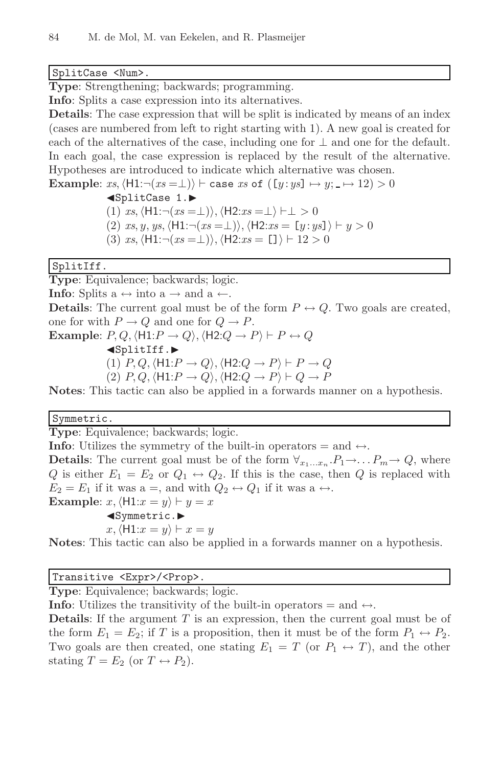SplitCase <Num>.

**Type**: Strengthening; backwards; programming.

**Info**: Splits a case expression into its alternatives.

**Details**: The case expression that will be split is indicated by means of an index (cases are numbered from left to right starting with 1). A new goal is created for each of the alternatives of the case, including one for  $\perp$  and one for the default. In each goal, the case expression is replaced by the result of the alternative. Hypotheses are introduced to indicate which alternative was chosen.

**Example:**  $xs$ ,  $\langle H1:\neg(xs = \bot)\rangle \vdash$  case  $xs$  of  $([y:ys] \mapsto y; \bot \mapsto 12) > 0$ 

# $\blacktriangleleft$ SplitCase 1. $\blacktriangleright$

- $(1)$  *xs*,  $\langle H1: \neg(xs = \bot) \rangle$ ,  $\langle H2:xs = \bot \rangle \vdash \bot > 0$ <br> $(2)$  *xs u us*  $\langle H1: \neg(xs = \bot) \rangle$ ,  $\langle H2:xs = \bot y \rangle u$
- $(2)$  *xs*, *y*, *ys*,  $\langle H1: \neg (xs = \bot) \rangle$ ,  $\langle H2:xs = [y : ys] \rangle \vdash y > 0$ <br>  $(3)$  *xs*  $(H1: \neg (xs = \bot) \setminus H2:xs = \square \setminus \bot 12 > 0$
- (3)  $xs$ ,  $\langle H1:\neg(xs=\perp)\rangle$ ,  $\langle H2:xs = [1] \rangle \vdash 12 > 0$

#### SplitIff.

**Type**: Equivalence; backwards; logic.

**Info**: Splits  $a \leftrightarrow \text{into } a \rightarrow \text{and } a \leftarrow$ .

**Details**: The current goal must be of the form  $P \leftrightarrow Q$ . Two goals are created, one for with  $P \to Q$  and one for  $Q \to P$ .

**Example:**  $P, Q, \langle H1: P \to Q \rangle, \langle H2: Q \to P \rangle \vdash P \leftrightarrow Q$ 

$$
\blacktriangleleft \text{Split} \text{If} \, . \blacktriangleright
$$

$$
(1) P, Q, \langle H1 \colon P \to Q \rangle, \langle H2 \colon Q \to P \rangle \vdash P \to Q
$$
  

$$
(2) P, Q, \langle H1 \colon P \to Q \rangle, \langle H2 \colon Q \to P \rangle \vdash Q \to P
$$

(2) 
$$
P, Q, \langle H1 : P \rightarrow Q \rangle, \langle H2 : Q \rightarrow P \rangle \vdash Q \rightarrow P
$$

(2)  $P, Q, \langle H1: P \to Q \rangle, \langle H2: Q \to P \rangle \vdash Q \to P$ <br>**Notes**: This tactic can also be applied in a forwards manner on a hypothesis.

Symmetric.

**Type**: Equivalence; backwards; logic.

**Info**: Utilizes the symmetry of the built-in operators  $=$  and  $\leftrightarrow$ .

**Details**: The current goal must be of the form  $\forall_{x_1...x_n} P_1 \rightarrow \dots P_m \rightarrow Q$ , where Q is either  $E_1 = E_2$  or  $Q_1 \leftrightarrow Q_2$ . If this is the case, then Q is replaced with  $E_2 = E_1$  if it was a =, and with  $Q_2 \leftrightarrow Q_1$  if it was a  $\leftrightarrow$ .

**Example:**  $x, \langle H1:x=y \rangle \vdash y=x$ 

$$
\blacktriangleleft \texttt{Symmetric}.\blacktriangleright
$$

$$
x, \langle \mathsf{H}1:x=y \rangle \vdash x=y
$$

 $x, \langle \mathsf{H1}:x = y \rangle \vdash x = y$ <br>**Notes:** This tactic can also be applied in a forwards manner on a hypothesis.

Transitive <Expr>/<Prop>.

**Type**: Equivalence; backwards; logic.

**Info**: Utilizes the transitivity of the built-in operators  $=$  and  $\leftrightarrow$ .

**Details**: If the argument T is an expression, then the current goal must be of the form  $E_1 = E_2$ ; if T is a proposition, then it must be of the form  $P_1 \leftrightarrow P_2$ . Two goals are then created, one stating  $E_1 = T$  (or  $P_1 \leftrightarrow T$ ), and the other stating  $T = E_2$  (or  $T \leftrightarrow P_2$ ).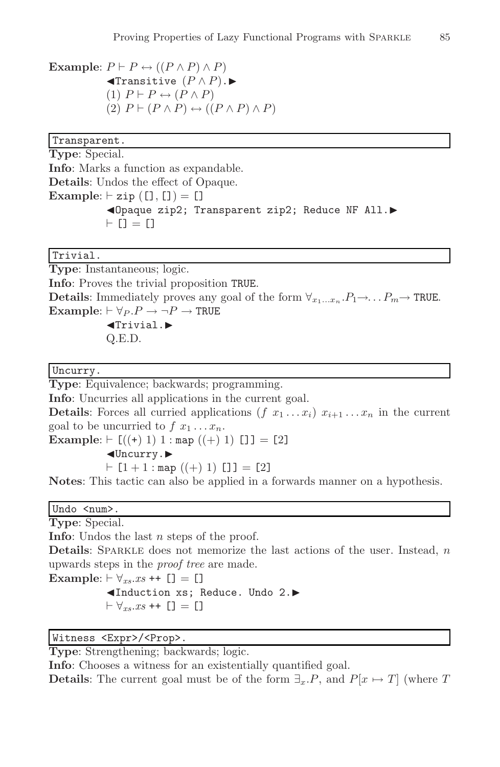**Example:**  $P \vdash P \leftrightarrow ((P \land P) \land P)$  $\blacktriangle$ **Transitive**  $(P \land P)$ . (1)  $P \vdash P \leftrightarrow (P \land P)$ <br>(2)  $P \vdash (P \land P) \leftrightarrow ((P \land P) \land P)$  $(2)$   $P \vdash (P \land P) \leftrightarrow ((P \land P) \land P)$ 

Transparent.

**Type**: Special.

**Info**: Marks a function as expandable. **Details**: Undos the effect of Opaque. **Example:**  $\vdash$  zip  $([], []) = []$ Opaque zip2; Transparent zip2; Reduce NF All.  $\vdash$  []  $=$  []

Trivial.

**Type**: Instantaneous; logic.

**Info**: Proves the trivial proposition TRUE.

**Details**: Immediately proves any goal of the form  $\forall x_1...x_n.P_1 \rightarrow ... P_m \rightarrow \text{TRUE.}$  $\begin{array}{c}\n\mathbf{Example:} \vdash \forall P.P \rightarrow \neg P \rightarrow \mathsf{TRUE}\n\end{array}$ 

 $\blacktriangleleft$ Trivial. $\blacktriangleright$ Q.E.D.

Uncurry.

**Type**: Equivalence; backwards; programming.

**Info**: Uncurries all applications in the current goal.

**Details:** Forces all curried applications  $(f x_1 ... x_i) x_{i+1} ... x_n$  in the current goal to be uncurried to  $f(x_1...x_n)$ .

**Example**:  $\vdash$  [((+) 1) 1 : map ((+) 1) []] = [2]

 $\blacktriangle$ Uncurry. $\blacktriangleright$ 

 $\vdash$  [1 + 1 : map  $((+)$  1) []] = [2]

**Notes**: This tactic can also be applied in a forwards manner on a hypothesis.

Undo <num>.

**Type**: Special.

**Info**: Undos the last n steps of the proof.

**Details**: SPARKLE does not memorize the last actions of the user. Instead, n upwards steps in the *proof tree* are made.

**Example**:  $\vdash \forall_{xs}.xs$  ++ [] = []

Induction xs; Reduce. Undo 2.  $\vdash \forall_{xs}.xs$  ++ [] = []

Witness <Expr>/<Prop>.

**Type**: Strengthening; backwards; logic.

**Info**: Chooses a witness for an existentially quantified goal.

**Details**: The current goal must be of the form  $\exists_x P$ , and  $P[x \mapsto T]$  (where T